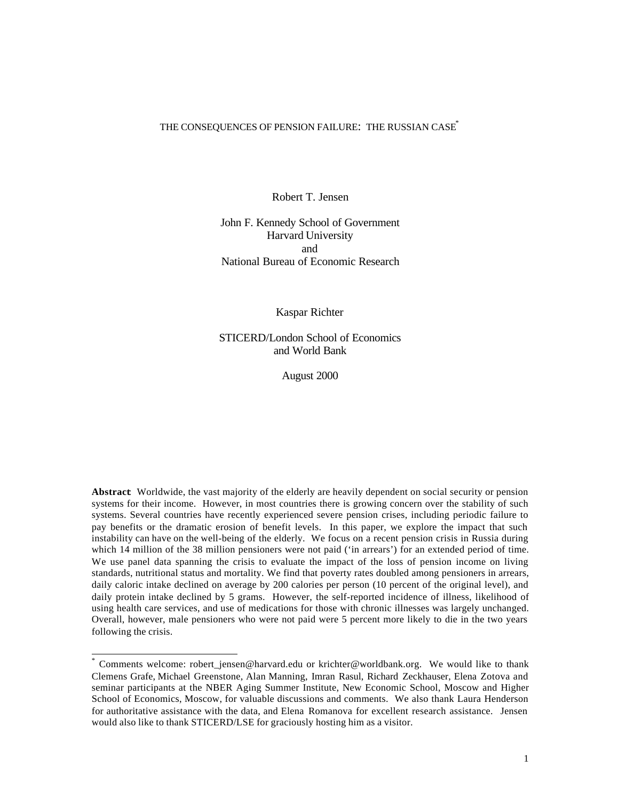#### THE CONSEQUENCES OF PENSION FAILURE: THE RUSSIAN CASE<sup>\*</sup>

Robert T. Jensen

John F. Kennedy School of Government Harvard University and National Bureau of Economic Research

Kaspar Richter

STICERD/London School of Economics and World Bank

August 2000

**Abstract**: Worldwide, the vast majority of the elderly are heavily dependent on social security or pension systems for their income. However, in most countries there is growing concern over the stability of such systems. Several countries have recently experienced severe pension crises, including periodic failure to pay benefits or the dramatic erosion of benefit levels. In this paper, we explore the impact that such instability can have on the well-being of the elderly. We focus on a recent pension crisis in Russia during which 14 million of the 38 million pensioners were not paid ('in arrears') for an extended period of time. We use panel data spanning the crisis to evaluate the impact of the loss of pension income on living standards, nutritional status and mortality. We find that poverty rates doubled among pensioners in arrears, daily caloric intake declined on average by 200 calories per person (10 percent of the original level), and daily protein intake declined by 5 grams. However, the self-reported incidence of illness, likelihood of using health care services, and use of medications for those with chronic illnesses was largely unchanged. Overall, however, male pensioners who were not paid were 5 percent more likely to die in the two years following the crisis.

<sup>\*</sup> Comments welcome: robert\_jensen@harvard.edu or krichter@worldbank.org. We would like to thank Clemens Grafe, Michael Greenstone, Alan Manning, Imran Rasul, Richard Zeckhauser, Elena Zotova and seminar participants at the NBER Aging Summer Institute, New Economic School, Moscow and Higher School of Economics, Moscow, for valuable discussions and comments. We also thank Laura Henderson for authoritative assistance with the data, and Elena Romanova for excellent research assistance. Jensen would also like to thank STICERD/LSE for graciously hosting him as a visitor.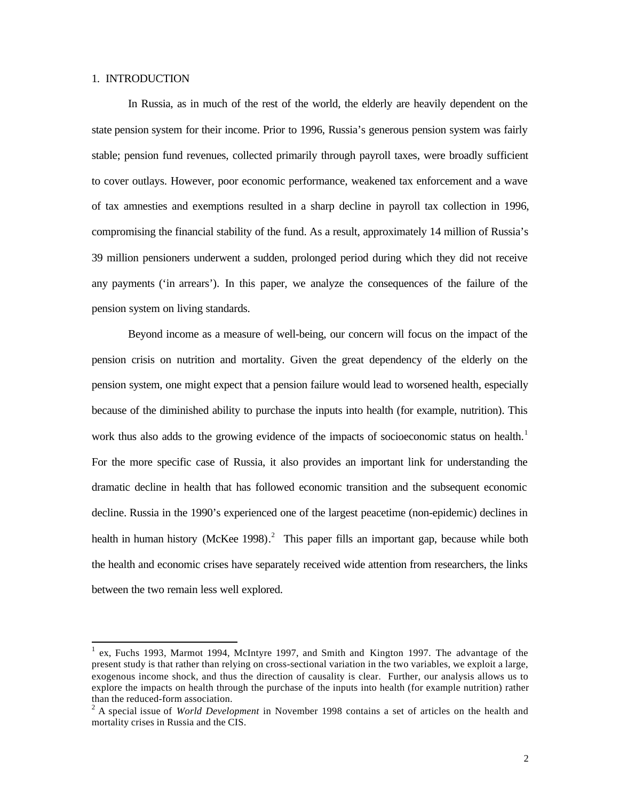## 1. INTRODUCTION

l

In Russia, as in much of the rest of the world, the elderly are heavily dependent on the state pension system for their income. Prior to 1996, Russia's generous pension system was fairly stable; pension fund revenues, collected primarily through payroll taxes, were broadly sufficient to cover outlays. However, poor economic performance, weakened tax enforcement and a wave of tax amnesties and exemptions resulted in a sharp decline in payroll tax collection in 1996, compromising the financial stability of the fund. As a result, approximately 14 million of Russia's 39 million pensioners underwent a sudden, prolonged period during which they did not receive any payments ('in arrears'). In this paper, we analyze the consequences of the failure of the pension system on living standards.

Beyond income as a measure of well-being, our concern will focus on the impact of the pension crisis on nutrition and mortality. Given the great dependency of the elderly on the pension system, one might expect that a pension failure would lead to worsened health, especially because of the diminished ability to purchase the inputs into health (for example, nutrition). This work thus also adds to the growing evidence of the impacts of socioeconomic status on health.<sup>1</sup> For the more specific case of Russia, it also provides an important link for understanding the dramatic decline in health that has followed economic transition and the subsequent economic decline. Russia in the 1990's experienced one of the largest peacetime (non-epidemic) declines in health in human history (McKee 1998).<sup>2</sup> This paper fills an important gap, because while both the health and economic crises have separately received wide attention from researchers, the links between the two remain less well explored.

<sup>&</sup>lt;sup>1</sup> ex, Fuchs 1993, Marmot 1994, McIntyre 1997, and Smith and Kington 1997. The advantage of the present study is that rather than relying on cross-sectional variation in the two variables, we exploit a large, exogenous income shock, and thus the direction of causality is clear. Further, our analysis allows us to explore the impacts on health through the purchase of the inputs into health (for example nutrition) rather than the reduced-form association.

<sup>2</sup> A special issue of *World Development* in November 1998 contains a set of articles on the health and mortality crises in Russia and the CIS.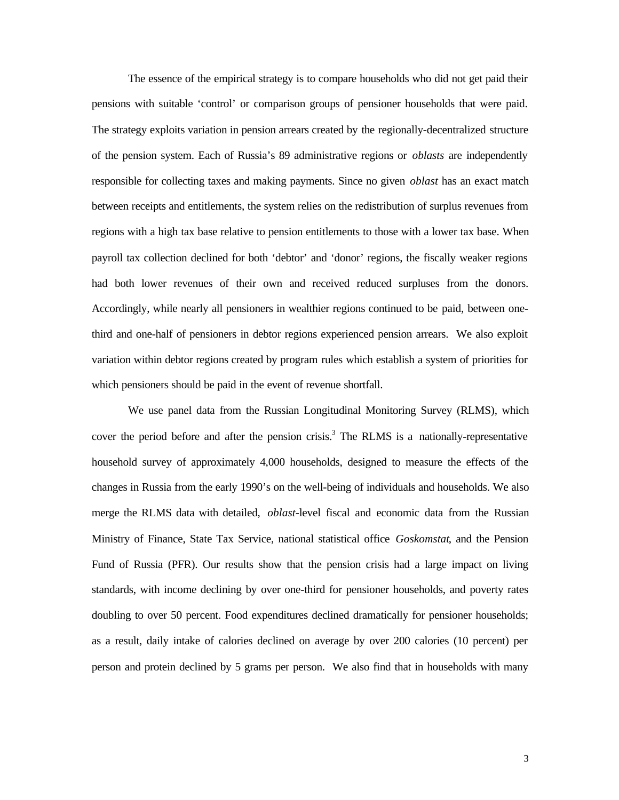The essence of the empirical strategy is to compare households who did not get paid their pensions with suitable 'control' or comparison groups of pensioner households that were paid. The strategy exploits variation in pension arrears created by the regionally-decentralized structure of the pension system. Each of Russia's 89 administrative regions or *oblasts* are independently responsible for collecting taxes and making payments. Since no given *oblast* has an exact match between receipts and entitlements, the system relies on the redistribution of surplus revenues from regions with a high tax base relative to pension entitlements to those with a lower tax base. When payroll tax collection declined for both 'debtor' and 'donor' regions, the fiscally weaker regions had both lower revenues of their own and received reduced surpluses from the donors. Accordingly, while nearly all pensioners in wealthier regions continued to be paid, between onethird and one-half of pensioners in debtor regions experienced pension arrears. We also exploit variation within debtor regions created by program rules which establish a system of priorities for which pensioners should be paid in the event of revenue shortfall.

We use panel data from the Russian Longitudinal Monitoring Survey (RLMS), which cover the period before and after the pension crisis.<sup>3</sup> The RLMS is a nationally-representative household survey of approximately 4,000 households, designed to measure the effects of the changes in Russia from the early 1990's on the well-being of individuals and households. We also merge the RLMS data with detailed, *oblast*-level fiscal and economic data from the Russian Ministry of Finance, State Tax Service, national statistical office *Goskomstat*, and the Pension Fund of Russia (PFR). Our results show that the pension crisis had a large impact on living standards, with income declining by over one-third for pensioner households, and poverty rates doubling to over 50 percent. Food expenditures declined dramatically for pensioner households; as a result, daily intake of calories declined on average by over 200 calories (10 percent) per person and protein declined by 5 grams per person. We also find that in households with many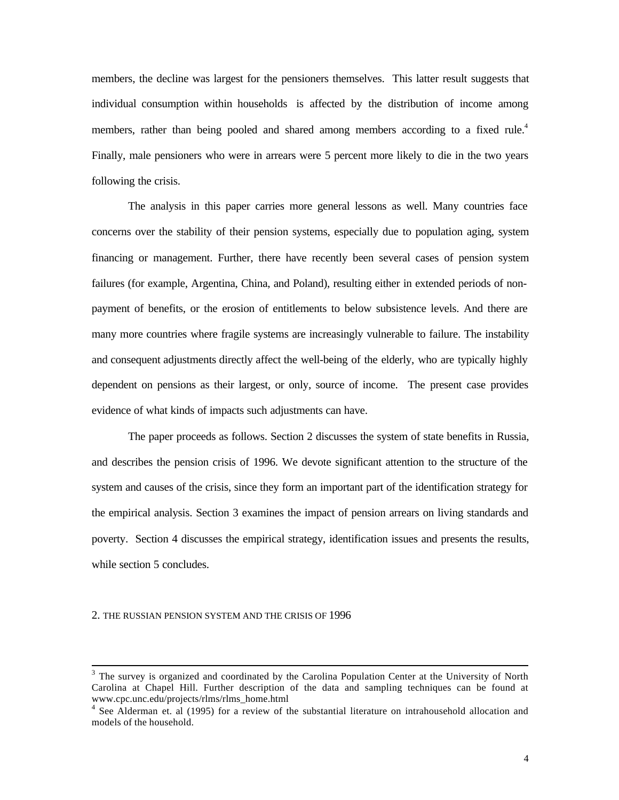members, the decline was largest for the pensioners themselves. This latter result suggests that individual consumption within households is affected by the distribution of income among members, rather than being pooled and shared among members according to a fixed rule.<sup>4</sup> Finally, male pensioners who were in arrears were 5 percent more likely to die in the two years following the crisis.

The analysis in this paper carries more general lessons as well. Many countries face concerns over the stability of their pension systems, especially due to population aging, system financing or management. Further, there have recently been several cases of pension system failures (for example, Argentina, China, and Poland), resulting either in extended periods of nonpayment of benefits, or the erosion of entitlements to below subsistence levels. And there are many more countries where fragile systems are increasingly vulnerable to failure. The instability and consequent adjustments directly affect the well-being of the elderly, who are typically highly dependent on pensions as their largest, or only, source of income. The present case provides evidence of what kinds of impacts such adjustments can have.

The paper proceeds as follows. Section 2 discusses the system of state benefits in Russia, and describes the pension crisis of 1996. We devote significant attention to the structure of the system and causes of the crisis, since they form an important part of the identification strategy for the empirical analysis. Section 3 examines the impact of pension arrears on living standards and poverty. Section 4 discusses the empirical strategy, identification issues and presents the results, while section 5 concludes.

#### 2. THE RUSSIAN PENSION SYSTEM AND THE CRISIS OF 1996

<sup>&</sup>lt;sup>3</sup> The survey is organized and coordinated by the Carolina Population Center at the University of North Carolina at Chapel Hill. Further description of the data and sampling techniques can be found at www.cpc.unc.edu/projects/rlms/rlms\_home.html

<sup>&</sup>lt;sup>4</sup> See Alderman et. al (1995) for a review of the substantial literature on intrahousehold allocation and models of the household.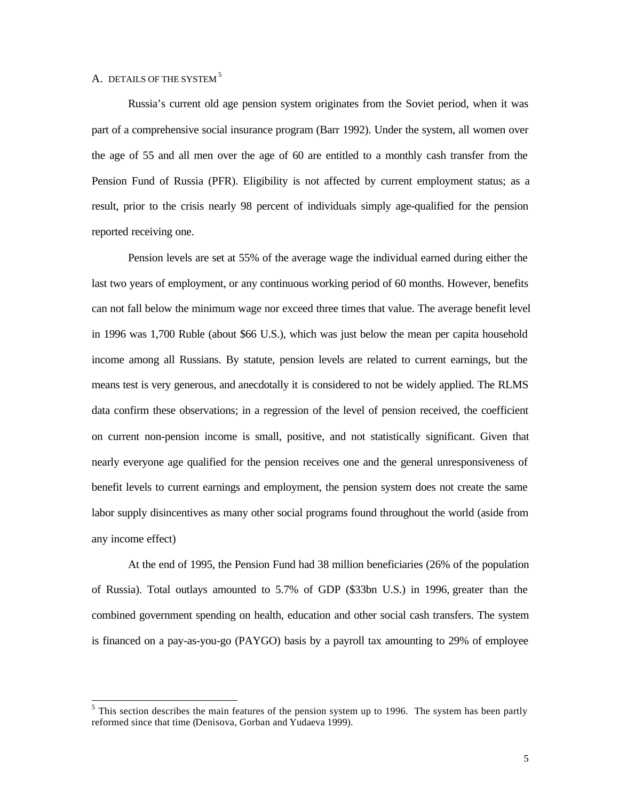# A. DETAILS OF THE SYSTEM<sup>5</sup>

l

Russia's current old age pension system originates from the Soviet period, when it was part of a comprehensive social insurance program (Barr 1992). Under the system, all women over the age of 55 and all men over the age of 60 are entitled to a monthly cash transfer from the Pension Fund of Russia (PFR). Eligibility is not affected by current employment status; as a result, prior to the crisis nearly 98 percent of individuals simply age-qualified for the pension reported receiving one.

Pension levels are set at 55% of the average wage the individual earned during either the last two years of employment, or any continuous working period of 60 months. However, benefits can not fall below the minimum wage nor exceed three times that value. The average benefit level in 1996 was 1,700 Ruble (about \$66 U.S.), which was just below the mean per capita household income among all Russians. By statute, pension levels are related to current earnings, but the means test is very generous, and anecdotally it is considered to not be widely applied. The RLMS data confirm these observations; in a regression of the level of pension received, the coefficient on current non-pension income is small, positive, and not statistically significant. Given that nearly everyone age qualified for the pension receives one and the general unresponsiveness of benefit levels to current earnings and employment, the pension system does not create the same labor supply disincentives as many other social programs found throughout the world (aside from any income effect)

At the end of 1995, the Pension Fund had 38 million beneficiaries (26% of the population of Russia). Total outlays amounted to 5.7% of GDP (\$33bn U.S.) in 1996, greater than the combined government spending on health, education and other social cash transfers. The system is financed on a pay-as-you-go (PAYGO) basis by a payroll tax amounting to 29% of employee

 $<sup>5</sup>$  This section describes the main features of the pension system up to 1996. The system has been partly</sup> reformed since that time (Denisova, Gorban and Yudaeva 1999).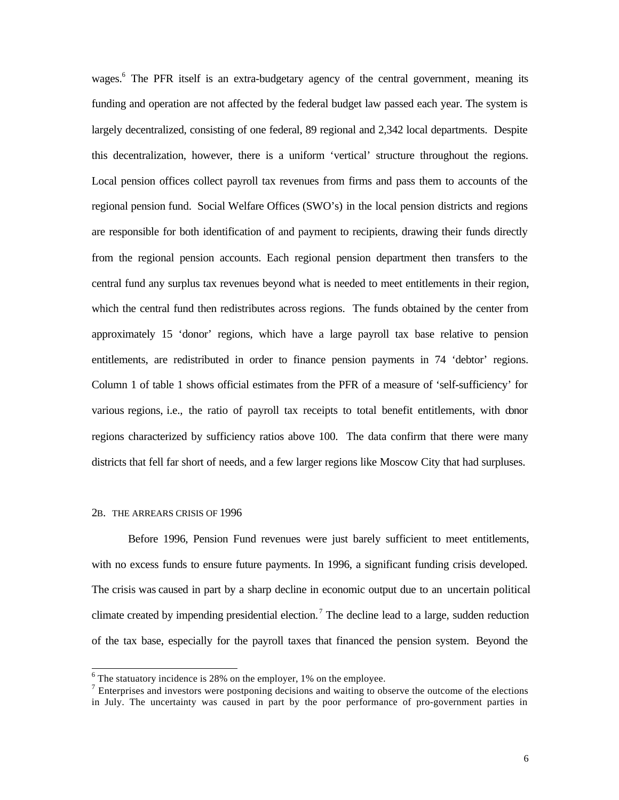wages.<sup>6</sup> The PFR itself is an extra-budgetary agency of the central government, meaning its funding and operation are not affected by the federal budget law passed each year. The system is largely decentralized, consisting of one federal, 89 regional and 2,342 local departments. Despite this decentralization, however, there is a uniform 'vertical' structure throughout the regions. Local pension offices collect payroll tax revenues from firms and pass them to accounts of the regional pension fund. Social Welfare Offices (SWO's) in the local pension districts and regions are responsible for both identification of and payment to recipients, drawing their funds directly from the regional pension accounts. Each regional pension department then transfers to the central fund any surplus tax revenues beyond what is needed to meet entitlements in their region, which the central fund then redistributes across regions. The funds obtained by the center from approximately 15 'donor' regions, which have a large payroll tax base relative to pension entitlements, are redistributed in order to finance pension payments in 74 'debtor' regions. Column 1 of table 1 shows official estimates from the PFR of a measure of 'self-sufficiency' for various regions, i.e., the ratio of payroll tax receipts to total benefit entitlements, with donor regions characterized by sufficiency ratios above 100. The data confirm that there were many districts that fell far short of needs, and a few larger regions like Moscow City that had surpluses.

#### 2B. THE ARREARS CRISIS OF 1996

Before 1996, Pension Fund revenues were just barely sufficient to meet entitlements, with no excess funds to ensure future payments. In 1996, a significant funding crisis developed. The crisis was caused in part by a sharp decline in economic output due to an uncertain political climate created by impending presidential election.<sup>7</sup> The decline lead to a large, sudden reduction of the tax base, especially for the payroll taxes that financed the pension system. Beyond the

 $\frac{6}{6}$  The statuatory incidence is 28% on the employer, 1% on the employee.

 $<sup>7</sup>$  Enterprises and investors were postponing decisions and waiting to observe the outcome of the elections</sup> in July. The uncertainty was caused in part by the poor performance of pro-government parties in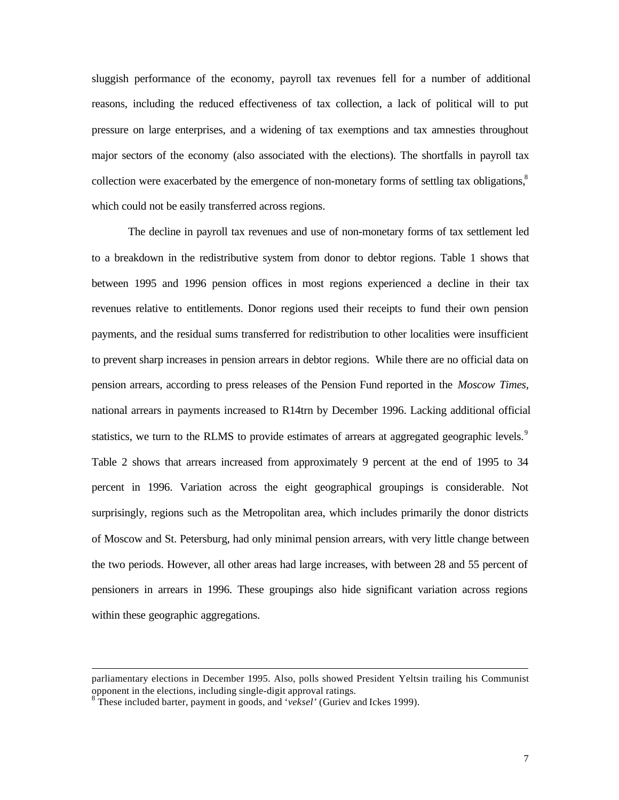sluggish performance of the economy, payroll tax revenues fell for a number of additional reasons, including the reduced effectiveness of tax collection, a lack of political will to put pressure on large enterprises, and a widening of tax exemptions and tax amnesties throughout major sectors of the economy (also associated with the elections). The shortfalls in payroll tax collection were exacerbated by the emergence of non-monetary forms of settling tax obligations,<sup>8</sup> which could not be easily transferred across regions.

The decline in payroll tax revenues and use of non-monetary forms of tax settlement led to a breakdown in the redistributive system from donor to debtor regions. Table 1 shows that between 1995 and 1996 pension offices in most regions experienced a decline in their tax revenues relative to entitlements. Donor regions used their receipts to fund their own pension payments, and the residual sums transferred for redistribution to other localities were insufficient to prevent sharp increases in pension arrears in debtor regions. While there are no official data on pension arrears, according to press releases of the Pension Fund reported in the *Moscow Times*, national arrears in payments increased to R14trn by December 1996. Lacking additional official statistics, we turn to the RLMS to provide estimates of arrears at aggregated geographic levels.<sup>9</sup> Table 2 shows that arrears increased from approximately 9 percent at the end of 1995 to 34 percent in 1996. Variation across the eight geographical groupings is considerable. Not surprisingly, regions such as the Metropolitan area, which includes primarily the donor districts of Moscow and St. Petersburg, had only minimal pension arrears, with very little change between the two periods. However, all other areas had large increases, with between 28 and 55 percent of pensioners in arrears in 1996. These groupings also hide significant variation across regions within these geographic aggregations.

parliamentary elections in December 1995. Also, polls showed President Yeltsin trailing his Communist opponent in the elections, including single-digit approval ratings.

<sup>&</sup>lt;sup>8</sup>These included barter, payment in goods, and '*veksel'* (Guriev and Ickes 1999).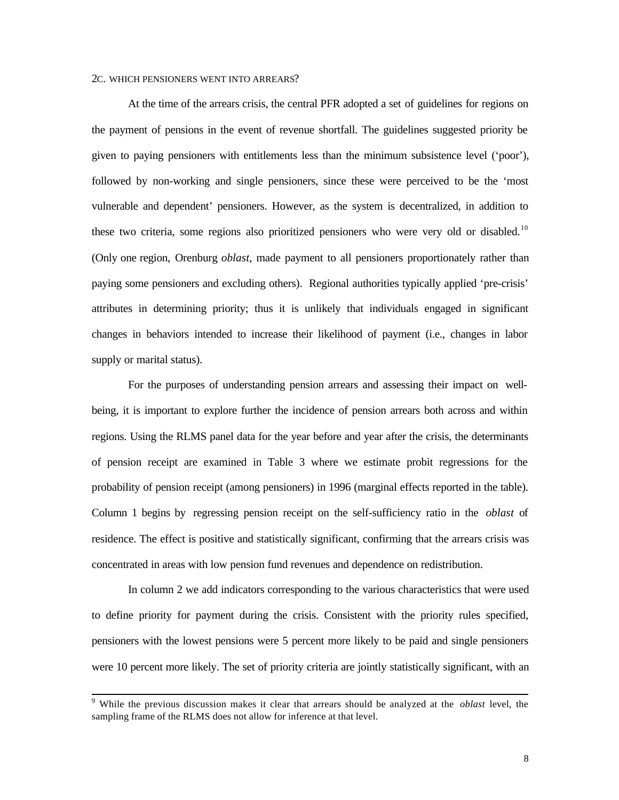## 2C. WHICH PENSIONERS WENT INTO ARREARS?

At the time of the arrears crisis, the central PFR adopted a set of guidelines for regions on the payment of pensions in the event of revenue shortfall. The guidelines suggested priority be given to paying pensioners with entitlements less than the minimum subsistence level ('poor'), followed by non-working and single pensioners, since these were perceived to be the 'most vulnerable and dependent' pensioners. However, as the system is decentralized, in addition to these two criteria, some regions also prioritized pensioners who were very old or disabled.<sup>10</sup> (Only one region, Orenburg *oblast*, made payment to all pensioners proportionately rather than paying some pensioners and excluding others). Regional authorities typically applied 'pre-crisis' attributes in determining priority; thus it is unlikely that individuals engaged in significant changes in behaviors intended to increase their likelihood of payment (i.e., changes in labor supply or marital status).

For the purposes of understanding pension arrears and assessing their impact on wellbeing, it is important to explore further the incidence of pension arrears both across and within regions. Using the RLMS panel data for the year before and year after the crisis, the determinants of pension receipt are examined in Table 3 where we estimate probit regressions for the probability of pension receipt (among pensioners) in 1996 (marginal effects reported in the table). Column 1 begins by regressing pension receipt on the self-sufficiency ratio in the *oblast* of residence. The effect is positive and statistically significant, confirming that the arrears crisis was concentrated in areas with low pension fund revenues and dependence on redistribution.

In column 2 we add indicators corresponding to the various characteristics that were used to define priority for payment during the crisis. Consistent with the priority rules specified, pensioners with the lowest pensions were 5 percent more likely to be paid and single pensioners were 10 percent more likely. The set of priority criteria are jointly statistically significant, with an

 9 While the previous discussion makes it clear that arrears should be analyzed at the *oblast* level, the sampling frame of the RLMS does not allow for inference at that level.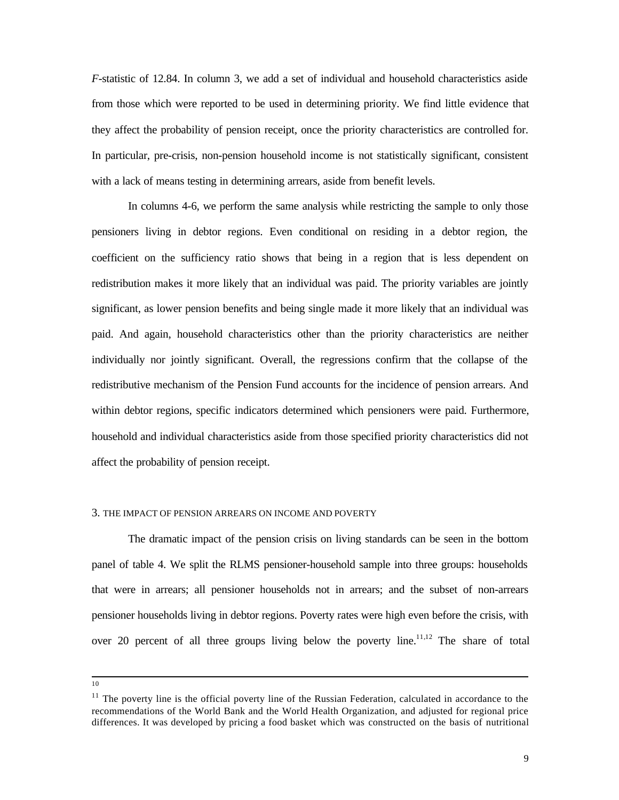*F*-statistic of 12.84. In column 3, we add a set of individual and household characteristics aside from those which were reported to be used in determining priority. We find little evidence that they affect the probability of pension receipt, once the priority characteristics are controlled for. In particular, pre-crisis, non-pension household income is not statistically significant, consistent with a lack of means testing in determining arrears, aside from benefit levels.

In columns 4-6, we perform the same analysis while restricting the sample to only those pensioners living in debtor regions. Even conditional on residing in a debtor region, the coefficient on the sufficiency ratio shows that being in a region that is less dependent on redistribution makes it more likely that an individual was paid. The priority variables are jointly significant, as lower pension benefits and being single made it more likely that an individual was paid. And again, household characteristics other than the priority characteristics are neither individually nor jointly significant. Overall, the regressions confirm that the collapse of the redistributive mechanism of the Pension Fund accounts for the incidence of pension arrears. And within debtor regions, specific indicators determined which pensioners were paid. Furthermore, household and individual characteristics aside from those specified priority characteristics did not affect the probability of pension receipt.

#### 3. THE IMPACT OF PENSION ARREARS ON INCOME AND POVERTY

The dramatic impact of the pension crisis on living standards can be seen in the bottom panel of table 4. We split the RLMS pensioner-household sample into three groups: households that were in arrears; all pensioner households not in arrears; and the subset of non-arrears pensioner households living in debtor regions. Poverty rates were high even before the crisis, with over 20 percent of all three groups living below the poverty line.<sup>11,12</sup> The share of total

10

 $11$  The poverty line is the official poverty line of the Russian Federation, calculated in accordance to the recommendations of the World Bank and the World Health Organization, and adjusted for regional price differences. It was developed by pricing a food basket which was constructed on the basis of nutritional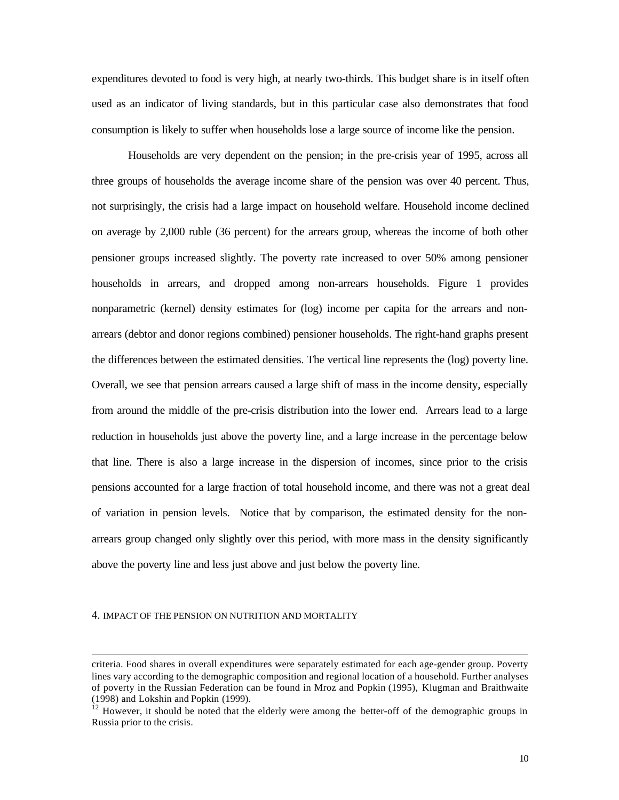expenditures devoted to food is very high, at nearly two-thirds. This budget share is in itself often used as an indicator of living standards, but in this particular case also demonstrates that food consumption is likely to suffer when households lose a large source of income like the pension.

Households are very dependent on the pension; in the pre-crisis year of 1995, across all three groups of households the average income share of the pension was over 40 percent. Thus, not surprisingly, the crisis had a large impact on household welfare. Household income declined on average by 2,000 ruble (36 percent) for the arrears group, whereas the income of both other pensioner groups increased slightly. The poverty rate increased to over 50% among pensioner households in arrears, and dropped among non-arrears households. Figure 1 provides nonparametric (kernel) density estimates for (log) income per capita for the arrears and nonarrears (debtor and donor regions combined) pensioner households. The right-hand graphs present the differences between the estimated densities. The vertical line represents the (log) poverty line. Overall, we see that pension arrears caused a large shift of mass in the income density, especially from around the middle of the pre-crisis distribution into the lower end. Arrears lead to a large reduction in households just above the poverty line, and a large increase in the percentage below that line. There is also a large increase in the dispersion of incomes, since prior to the crisis pensions accounted for a large fraction of total household income, and there was not a great deal of variation in pension levels. Notice that by comparison, the estimated density for the nonarrears group changed only slightly over this period, with more mass in the density significantly above the poverty line and less just above and just below the poverty line.

#### 4. IMPACT OF THE PENSION ON NUTRITION AND MORTALITY

criteria. Food shares in overall expenditures were separately estimated for each age-gender group. Poverty lines vary according to the demographic composition and regional location of a household. Further analyses of poverty in the Russian Federation can be found in Mroz and Popkin (1995), Klugman and Braithwaite (1998) and Lokshin and Popkin (1999).

<sup>&</sup>lt;sup>12</sup> However, it should be noted that the elderly were among the better-off of the demographic groups in Russia prior to the crisis.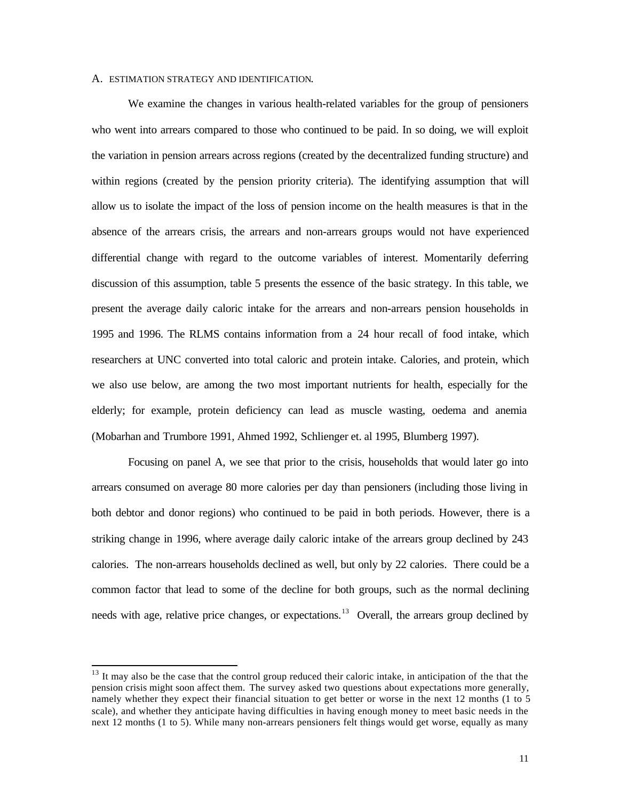#### A. ESTIMATION STRATEGY AND IDENTIFICATION.

We examine the changes in various health-related variables for the group of pensioners who went into arrears compared to those who continued to be paid. In so doing, we will exploit the variation in pension arrears across regions (created by the decentralized funding structure) and within regions (created by the pension priority criteria). The identifying assumption that will allow us to isolate the impact of the loss of pension income on the health measures is that in the absence of the arrears crisis, the arrears and non-arrears groups would not have experienced differential change with regard to the outcome variables of interest. Momentarily deferring discussion of this assumption, table 5 presents the essence of the basic strategy. In this table, we present the average daily caloric intake for the arrears and non-arrears pension households in 1995 and 1996. The RLMS contains information from a 24 hour recall of food intake, which researchers at UNC converted into total caloric and protein intake. Calories, and protein, which we also use below, are among the two most important nutrients for health, especially for the elderly; for example, protein deficiency can lead as muscle wasting, oedema and anemia (Mobarhan and Trumbore 1991, Ahmed 1992, Schlienger et. al 1995, Blumberg 1997).

Focusing on panel A, we see that prior to the crisis, households that would later go into arrears consumed on average 80 more calories per day than pensioners (including those living in both debtor and donor regions) who continued to be paid in both periods. However, there is a striking change in 1996, where average daily caloric intake of the arrears group declined by 243 calories. The non-arrears households declined as well, but only by 22 calories. There could be a common factor that lead to some of the decline for both groups, such as the normal declining needs with age, relative price changes, or expectations.<sup>13</sup> Overall, the arrears group declined by

<sup>&</sup>lt;sup>13</sup> It may also be the case that the control group reduced their caloric intake, in anticipation of the that the pension crisis might soon affect them. The survey asked two questions about expectations more generally, namely whether they expect their financial situation to get better or worse in the next 12 months (1 to 5 scale), and whether they anticipate having difficulties in having enough money to meet basic needs in the next 12 months (1 to 5). While many non-arrears pensioners felt things would get worse, equally as many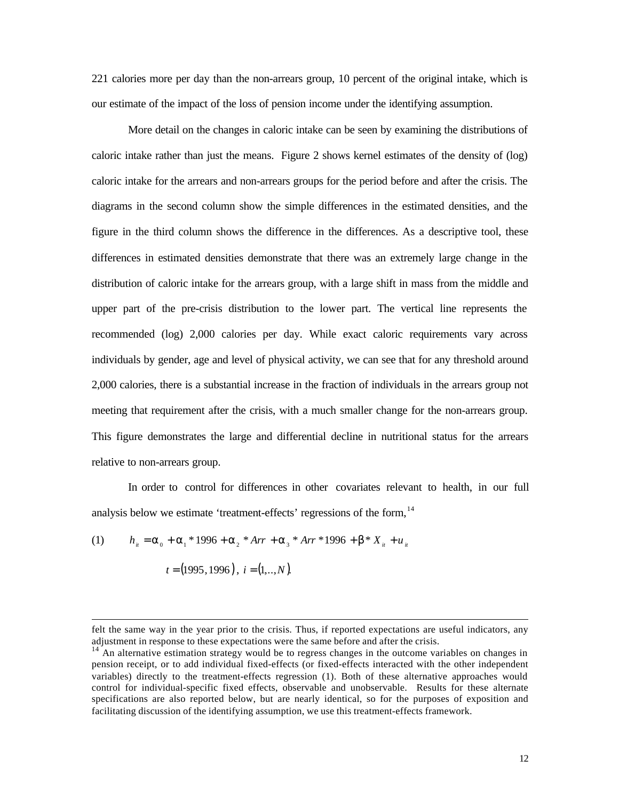221 calories more per day than the non-arrears group, 10 percent of the original intake, which is our estimate of the impact of the loss of pension income under the identifying assumption.

More detail on the changes in caloric intake can be seen by examining the distributions of caloric intake rather than just the means. Figure 2 shows kernel estimates of the density of (log) caloric intake for the arrears and non-arrears groups for the period before and after the crisis. The diagrams in the second column show the simple differences in the estimated densities, and the figure in the third column shows the difference in the differences. As a descriptive tool, these differences in estimated densities demonstrate that there was an extremely large change in the distribution of caloric intake for the arrears group, with a large shift in mass from the middle and upper part of the pre-crisis distribution to the lower part. The vertical line represents the recommended (log) 2,000 calories per day. While exact caloric requirements vary across individuals by gender, age and level of physical activity, we can see that for any threshold around 2,000 calories, there is a substantial increase in the fraction of individuals in the arrears group not meeting that requirement after the crisis, with a much smaller change for the non-arrears group. This figure demonstrates the large and differential decline in nutritional status for the arrears relative to non-arrears group.

In order to control for differences in other covariates relevant to health, in our full analysis below we estimate 'treatment-effects' regressions of the form, <sup>14</sup>

(1) 
$$
h_{ii} = \alpha_0 + \alpha_1 * 1996 + \alpha_2 * Arr + \alpha_3 * Arr * 1996 + \beta * X_{ii} + u_{ii}
$$

$$
t = (1995, 1996), i = (1, \dots, N).
$$

felt the same way in the year prior to the crisis. Thus, if reported expectations are useful indicators, any adjustment in response to these expectations were the same before and after the crisis.

 $14$ <sup> $\mu$ </sup>An alternative estimation strategy would be to regress changes in the outcome variables on changes in pension receipt, or to add individual fixed-effects (or fixed-effects interacted with the other independent variables) directly to the treatment-effects regression (1). Both of these alternative approaches would control for individual-specific fixed effects, observable and unobservable. Results for these alternate specifications are also reported below, but are nearly identical, so for the purposes of exposition and facilitating discussion of the identifying assumption, we use this treatment-effects framework.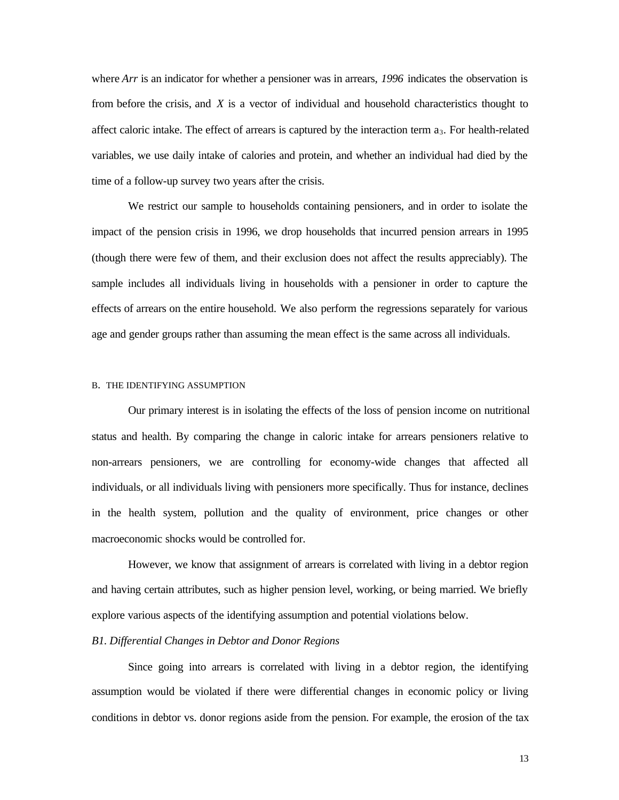where *Arr* is an indicator for whether a pensioner was in arrears, 1996 indicates the observation is from before the crisis, and *X* is a vector of individual and household characteristics thought to affect caloric intake. The effect of arrears is captured by the interaction term  $a_3$ . For health-related variables, we use daily intake of calories and protein, and whether an individual had died by the time of a follow-up survey two years after the crisis.

We restrict our sample to households containing pensioners, and in order to isolate the impact of the pension crisis in 1996, we drop households that incurred pension arrears in 1995 (though there were few of them, and their exclusion does not affect the results appreciably). The sample includes all individuals living in households with a pensioner in order to capture the effects of arrears on the entire household. We also perform the regressions separately for various age and gender groups rather than assuming the mean effect is the same across all individuals.

#### B. THE IDENTIFYING ASSUMPTION

Our primary interest is in isolating the effects of the loss of pension income on nutritional status and health. By comparing the change in caloric intake for arrears pensioners relative to non-arrears pensioners, we are controlling for economy-wide changes that affected all individuals, or all individuals living with pensioners more specifically. Thus for instance, declines in the health system, pollution and the quality of environment, price changes or other macroeconomic shocks would be controlled for.

However, we know that assignment of arrears is correlated with living in a debtor region and having certain attributes, such as higher pension level, working, or being married. We briefly explore various aspects of the identifying assumption and potential violations below.

#### *B1. Differential Changes in Debtor and Donor Regions*

Since going into arrears is correlated with living in a debtor region, the identifying assumption would be violated if there were differential changes in economic policy or living conditions in debtor vs. donor regions aside from the pension. For example, the erosion of the tax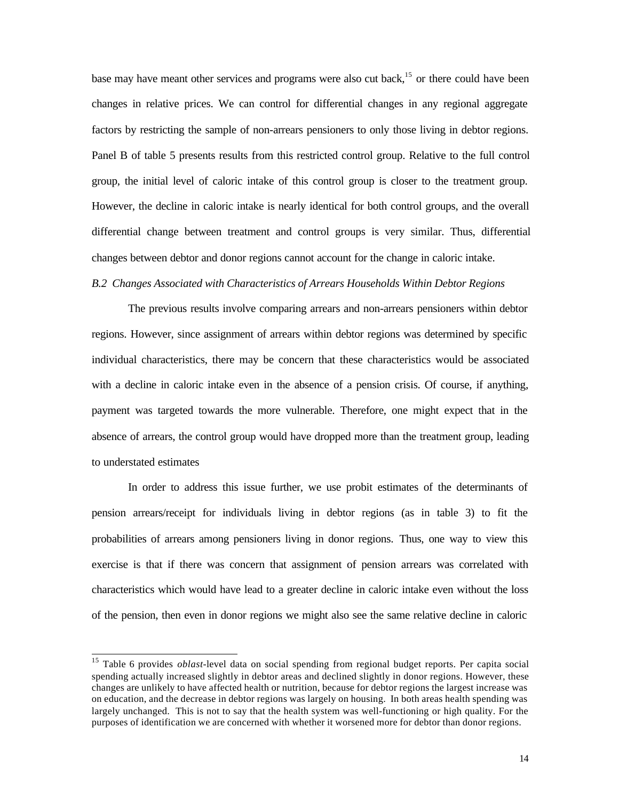base may have meant other services and programs were also cut back,<sup>15</sup> or there could have been changes in relative prices. We can control for differential changes in any regional aggregate factors by restricting the sample of non-arrears pensioners to only those living in debtor regions. Panel B of table 5 presents results from this restricted control group. Relative to the full control group, the initial level of caloric intake of this control group is closer to the treatment group. However, the decline in caloric intake is nearly identical for both control groups, and the overall differential change between treatment and control groups is very similar. Thus, differential changes between debtor and donor regions cannot account for the change in caloric intake.

# *B.2 Changes Associated with Characteristics of Arrears Households Within Debtor Regions*

The previous results involve comparing arrears and non-arrears pensioners within debtor regions. However, since assignment of arrears within debtor regions was determined by specific individual characteristics, there may be concern that these characteristics would be associated with a decline in caloric intake even in the absence of a pension crisis. Of course, if anything, payment was targeted towards the more vulnerable. Therefore, one might expect that in the absence of arrears, the control group would have dropped more than the treatment group, leading to understated estimates

In order to address this issue further, we use probit estimates of the determinants of pension arrears/receipt for individuals living in debtor regions (as in table 3) to fit the probabilities of arrears among pensioners living in donor regions. Thus, one way to view this exercise is that if there was concern that assignment of pension arrears was correlated with characteristics which would have lead to a greater decline in caloric intake even without the loss of the pension, then even in donor regions we might also see the same relative decline in caloric

<sup>15</sup> Table 6 provides *oblast*-level data on social spending from regional budget reports. Per capita social spending actually increased slightly in debtor areas and declined slightly in donor regions. However, these changes are unlikely to have affected health or nutrition, because for debtor regions the largest increase was on education, and the decrease in debtor regions was largely on housing. In both areas health spending was largely unchanged. This is not to say that the health system was well-functioning or high quality. For the purposes of identification we are concerned with whether it worsened more for debtor than donor regions.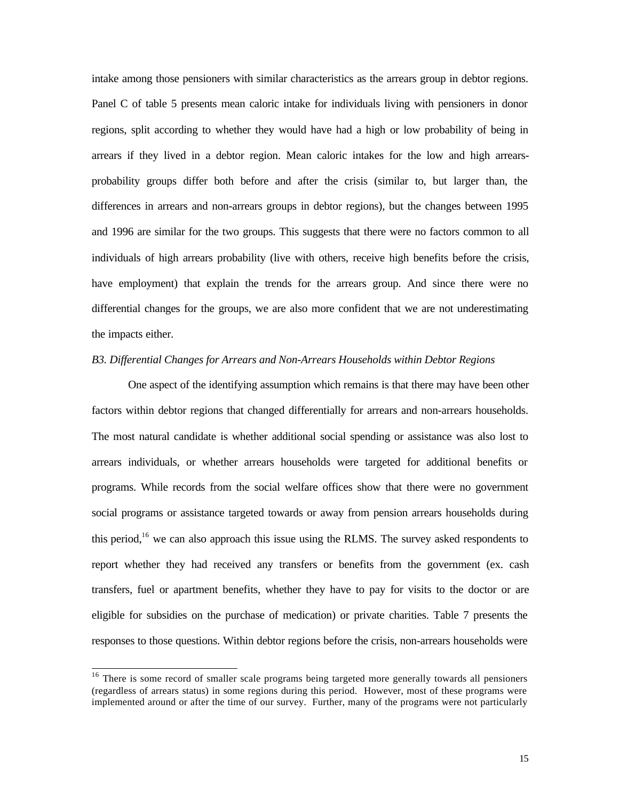intake among those pensioners with similar characteristics as the arrears group in debtor regions. Panel C of table 5 presents mean caloric intake for individuals living with pensioners in donor regions, split according to whether they would have had a high or low probability of being in arrears if they lived in a debtor region. Mean caloric intakes for the low and high arrearsprobability groups differ both before and after the crisis (similar to, but larger than, the differences in arrears and non-arrears groups in debtor regions), but the changes between 1995 and 1996 are similar for the two groups. This suggests that there were no factors common to all individuals of high arrears probability (live with others, receive high benefits before the crisis, have employment) that explain the trends for the arrears group. And since there were no differential changes for the groups, we are also more confident that we are not underestimating the impacts either.

#### *B3. Differential Changes for Arrears and Non-Arrears Households within Debtor Regions*

One aspect of the identifying assumption which remains is that there may have been other factors within debtor regions that changed differentially for arrears and non-arrears households. The most natural candidate is whether additional social spending or assistance was also lost to arrears individuals, or whether arrears households were targeted for additional benefits or programs. While records from the social welfare offices show that there were no government social programs or assistance targeted towards or away from pension arrears households during this period,<sup>16</sup> we can also approach this issue using the RLMS. The survey asked respondents to report whether they had received any transfers or benefits from the government (ex. cash transfers, fuel or apartment benefits, whether they have to pay for visits to the doctor or are eligible for subsidies on the purchase of medication) or private charities. Table 7 presents the responses to those questions. Within debtor regions before the crisis, non-arrears households were

<sup>&</sup>lt;sup>16</sup> There is some record of smaller scale programs being targeted more generally towards all pensioners (regardless of arrears status) in some regions during this period. However, most of these programs were implemented around or after the time of our survey. Further, many of the programs were not particularly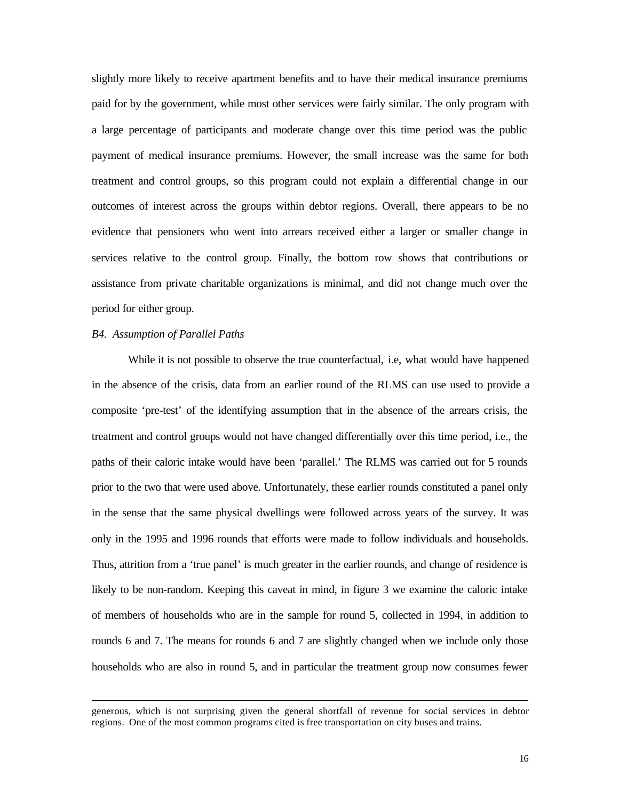slightly more likely to receive apartment benefits and to have their medical insurance premiums paid for by the government, while most other services were fairly similar. The only program with a large percentage of participants and moderate change over this time period was the public payment of medical insurance premiums. However, the small increase was the same for both treatment and control groups, so this program could not explain a differential change in our outcomes of interest across the groups within debtor regions. Overall, there appears to be no evidence that pensioners who went into arrears received either a larger or smaller change in services relative to the control group. Finally, the bottom row shows that contributions or assistance from private charitable organizations is minimal, and did not change much over the period for either group.

#### *B4. Assumption of Parallel Paths*

l

While it is not possible to observe the true counterfactual, i.e, what would have happened in the absence of the crisis, data from an earlier round of the RLMS can use used to provide a composite 'pre-test' of the identifying assumption that in the absence of the arrears crisis, the treatment and control groups would not have changed differentially over this time period, i.e., the paths of their caloric intake would have been 'parallel.' The RLMS was carried out for 5 rounds prior to the two that were used above. Unfortunately, these earlier rounds constituted a panel only in the sense that the same physical dwellings were followed across years of the survey. It was only in the 1995 and 1996 rounds that efforts were made to follow individuals and households. Thus, attrition from a 'true panel' is much greater in the earlier rounds, and change of residence is likely to be non-random. Keeping this caveat in mind, in figure 3 we examine the caloric intake of members of households who are in the sample for round 5, collected in 1994, in addition to rounds 6 and 7. The means for rounds 6 and 7 are slightly changed when we include only those households who are also in round 5, and in particular the treatment group now consumes fewer

generous, which is not surprising given the general shortfall of revenue for social services in debtor regions. One of the most common programs cited is free transportation on city buses and trains.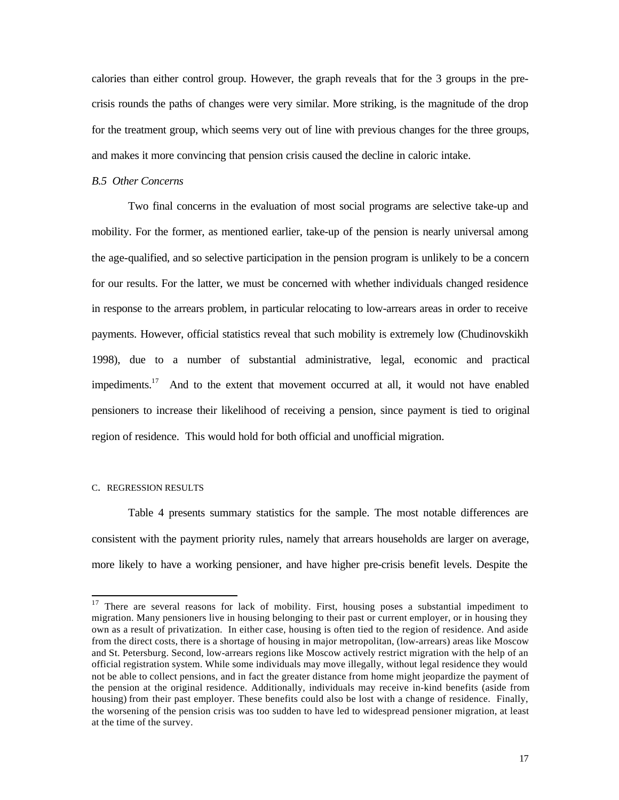calories than either control group. However, the graph reveals that for the 3 groups in the precrisis rounds the paths of changes were very similar. More striking, is the magnitude of the drop for the treatment group, which seems very out of line with previous changes for the three groups, and makes it more convincing that pension crisis caused the decline in caloric intake.

#### *B.5 Other Concerns*

Two final concerns in the evaluation of most social programs are selective take-up and mobility. For the former, as mentioned earlier, take-up of the pension is nearly universal among the age-qualified, and so selective participation in the pension program is unlikely to be a concern for our results. For the latter, we must be concerned with whether individuals changed residence in response to the arrears problem, in particular relocating to low-arrears areas in order to receive payments. However, official statistics reveal that such mobility is extremely low (Chudinovskikh 1998), due to a number of substantial administrative, legal, economic and practical impediments.<sup>17</sup> And to the extent that movement occurred at all, it would not have enabled pensioners to increase their likelihood of receiving a pension, since payment is tied to original region of residence. This would hold for both official and unofficial migration.

#### C. REGRESSION RESULTS

l

Table 4 presents summary statistics for the sample. The most notable differences are consistent with the payment priority rules, namely that arrears households are larger on average, more likely to have a working pensioner, and have higher pre-crisis benefit levels. Despite the

<sup>&</sup>lt;sup>17</sup> There are several reasons for lack of mobility. First, housing poses a substantial impediment to migration. Many pensioners live in housing belonging to their past or current employer, or in housing they own as a result of privatization. In either case, housing is often tied to the region of residence. And aside from the direct costs, there is a shortage of housing in major metropolitan, (low-arrears) areas like Moscow and St. Petersburg. Second, low-arrears regions like Moscow actively restrict migration with the help of an official registration system. While some individuals may move illegally, without legal residence they would not be able to collect pensions, and in fact the greater distance from home might jeopardize the payment of the pension at the original residence. Additionally, individuals may receive in-kind benefits (aside from housing) from their past employer. These benefits could also be lost with a change of residence. Finally, the worsening of the pension crisis was too sudden to have led to widespread pensioner migration, at least at the time of the survey.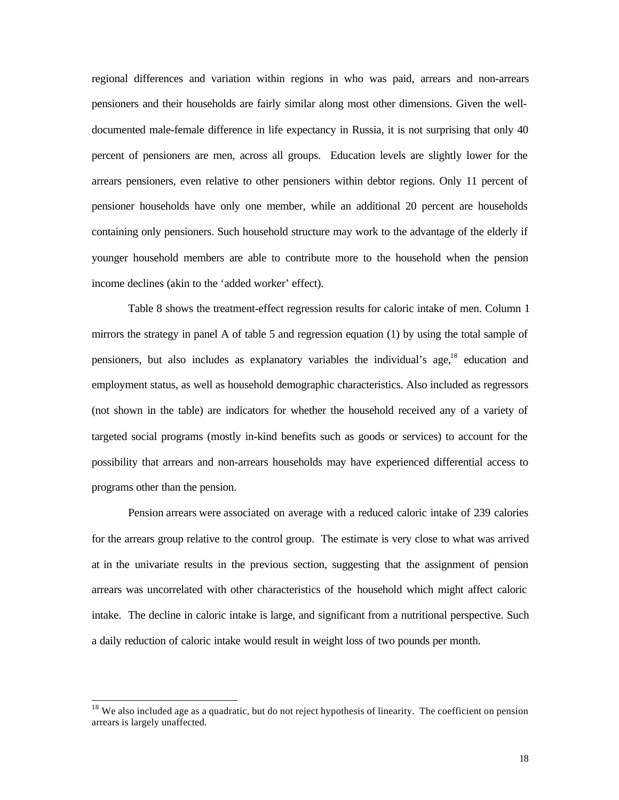regional differences and variation within regions in who was paid, arrears and non-arrears pensioners and their households are fairly similar along most other dimensions. Given the welldocumented male-female difference in life expectancy in Russia, it is not surprising that only 40 percent of pensioners are men, across all groups. Education levels are slightly lower for the arrears pensioners, even relative to other pensioners within debtor regions. Only 11 percent of pensioner households have only one member, while an additional 20 percent are households containing only pensioners. Such household structure may work to the advantage of the elderly if younger household members are able to contribute more to the household when the pension income declines (akin to the 'added worker' effect).

Table 8 shows the treatment-effect regression results for caloric intake of men. Column 1 mirrors the strategy in panel A of table 5 and regression equation (1) by using the total sample of pensioners, but also includes as explanatory variables the individual's age,<sup>18</sup> education and employment status, as well as household demographic characteristics. Also included as regressors (not shown in the table) are indicators for whether the household received any of a variety of targeted social programs (mostly in-kind benefits such as goods or services) to account for the possibility that arrears and non-arrears households may have experienced differential access to programs other than the pension.

Pension arrears were associated on average with a reduced caloric intake of 239 calories for the arrears group relative to the control group. The estimate is very close to what was arrived at in the univariate results in the previous section, suggesting that the assignment of pension arrears was uncorrelated with other characteristics of the household which might affect caloric intake. The decline in caloric intake is large, and significant from a nutritional perspective. Such a daily reduction of caloric intake would result in weight loss of two pounds per month.

<sup>&</sup>lt;sup>18</sup> We also included age as a quadratic, but do not reject hypothesis of linearity. The coefficient on pension arrears is largely unaffected.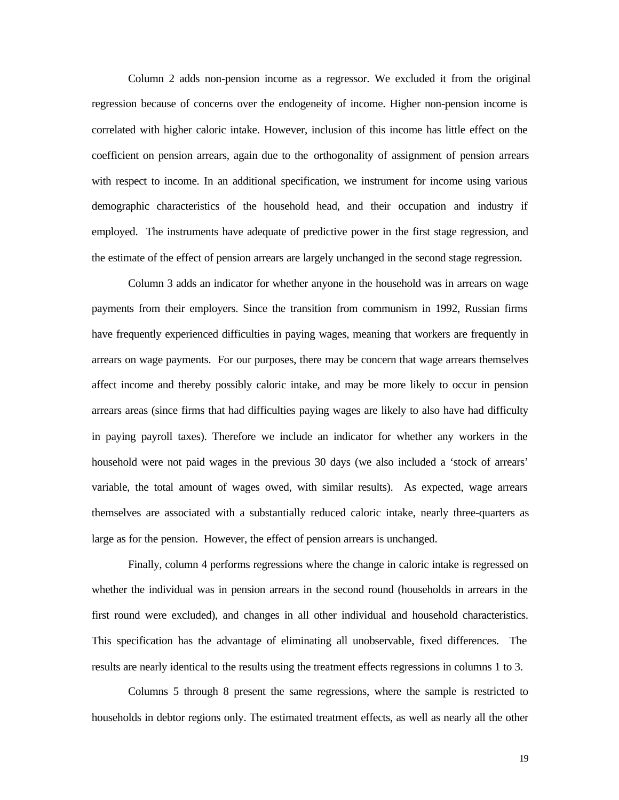Column 2 adds non-pension income as a regressor. We excluded it from the original regression because of concerns over the endogeneity of income. Higher non-pension income is correlated with higher caloric intake. However, inclusion of this income has little effect on the coefficient on pension arrears, again due to the orthogonality of assignment of pension arrears with respect to income. In an additional specification, we instrument for income using various demographic characteristics of the household head, and their occupation and industry if employed. The instruments have adequate of predictive power in the first stage regression, and the estimate of the effect of pension arrears are largely unchanged in the second stage regression.

Column 3 adds an indicator for whether anyone in the household was in arrears on wage payments from their employers. Since the transition from communism in 1992, Russian firms have frequently experienced difficulties in paying wages, meaning that workers are frequently in arrears on wage payments. For our purposes, there may be concern that wage arrears themselves affect income and thereby possibly caloric intake, and may be more likely to occur in pension arrears areas (since firms that had difficulties paying wages are likely to also have had difficulty in paying payroll taxes). Therefore we include an indicator for whether any workers in the household were not paid wages in the previous 30 days (we also included a 'stock of arrears' variable, the total amount of wages owed, with similar results). As expected, wage arrears themselves are associated with a substantially reduced caloric intake, nearly three-quarters as large as for the pension. However, the effect of pension arrears is unchanged.

Finally, column 4 performs regressions where the change in caloric intake is regressed on whether the individual was in pension arrears in the second round (households in arrears in the first round were excluded), and changes in all other individual and household characteristics. This specification has the advantage of eliminating all unobservable, fixed differences. The results are nearly identical to the results using the treatment effects regressions in columns 1 to 3.

Columns 5 through 8 present the same regressions, where the sample is restricted to households in debtor regions only. The estimated treatment effects, as well as nearly all the other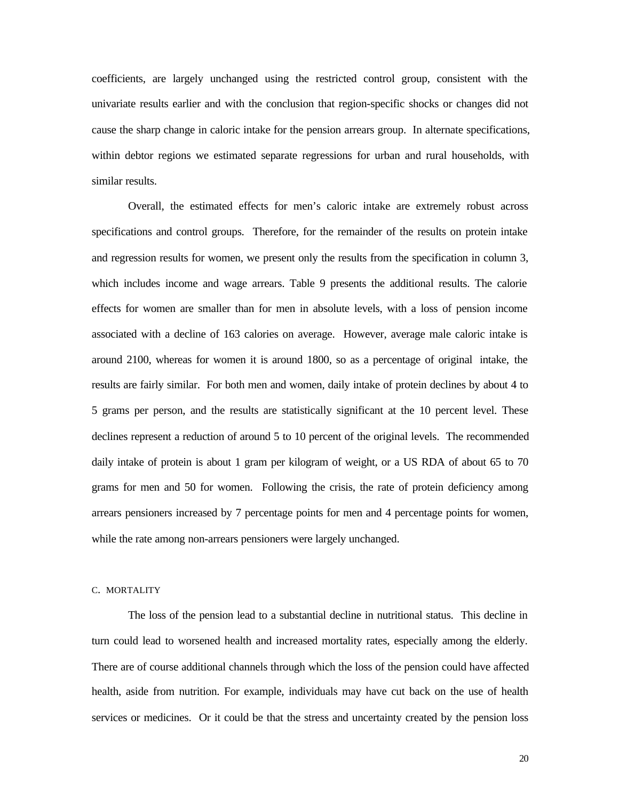coefficients, are largely unchanged using the restricted control group, consistent with the univariate results earlier and with the conclusion that region-specific shocks or changes did not cause the sharp change in caloric intake for the pension arrears group. In alternate specifications, within debtor regions we estimated separate regressions for urban and rural households, with similar results.

Overall, the estimated effects for men's caloric intake are extremely robust across specifications and control groups. Therefore, for the remainder of the results on protein intake and regression results for women, we present only the results from the specification in column 3, which includes income and wage arrears. Table 9 presents the additional results. The calorie effects for women are smaller than for men in absolute levels, with a loss of pension income associated with a decline of 163 calories on average. However, average male caloric intake is around 2100, whereas for women it is around 1800, so as a percentage of original intake, the results are fairly similar. For both men and women, daily intake of protein declines by about 4 to 5 grams per person, and the results are statistically significant at the 10 percent level. These declines represent a reduction of around 5 to 10 percent of the original levels. The recommended daily intake of protein is about 1 gram per kilogram of weight, or a US RDA of about 65 to 70 grams for men and 50 for women. Following the crisis, the rate of protein deficiency among arrears pensioners increased by 7 percentage points for men and 4 percentage points for women, while the rate among non-arrears pensioners were largely unchanged.

#### C. MORTALITY

The loss of the pension lead to a substantial decline in nutritional status. This decline in turn could lead to worsened health and increased mortality rates, especially among the elderly. There are of course additional channels through which the loss of the pension could have affected health, aside from nutrition. For example, individuals may have cut back on the use of health services or medicines. Or it could be that the stress and uncertainty created by the pension loss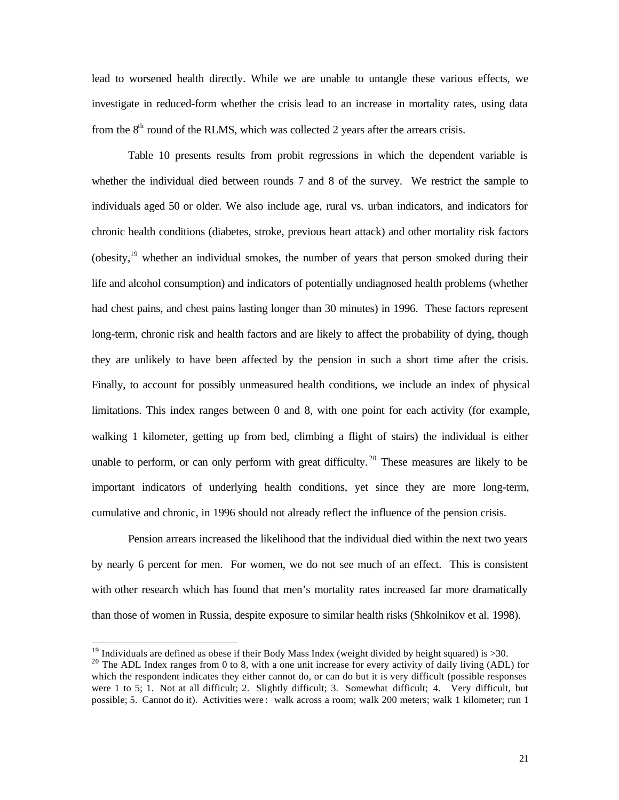lead to worsened health directly. While we are unable to untangle these various effects, we investigate in reduced-form whether the crisis lead to an increase in mortality rates, using data from the  $8<sup>th</sup>$  round of the RLMS, which was collected 2 years after the arrears crisis.

Table 10 presents results from probit regressions in which the dependent variable is whether the individual died between rounds 7 and 8 of the survey. We restrict the sample to individuals aged 50 or older. We also include age, rural vs. urban indicators, and indicators for chronic health conditions (diabetes, stroke, previous heart attack) and other mortality risk factors (obesity, $19$ ) whether an individual smokes, the number of years that person smoked during their life and alcohol consumption) and indicators of potentially undiagnosed health problems (whether had chest pains, and chest pains lasting longer than 30 minutes) in 1996. These factors represent long-term, chronic risk and health factors and are likely to affect the probability of dying, though they are unlikely to have been affected by the pension in such a short time after the crisis. Finally, to account for possibly unmeasured health conditions, we include an index of physical limitations. This index ranges between 0 and 8, with one point for each activity (for example, walking 1 kilometer, getting up from bed, climbing a flight of stairs) the individual is either unable to perform, or can only perform with great difficulty.<sup>20</sup> These measures are likely to be important indicators of underlying health conditions, yet since they are more long-term, cumulative and chronic, in 1996 should not already reflect the influence of the pension crisis.

Pension arrears increased the likelihood that the individual died within the next two years by nearly 6 percent for men. For women, we do not see much of an effect. This is consistent with other research which has found that men's mortality rates increased far more dramatically than those of women in Russia, despite exposure to similar health risks (Shkolnikov et al. 1998).

 $19$  Individuals are defined as obese if their Body Mass Index (weight divided by height squared) is >30.

 $20$  The ADL Index ranges from 0 to 8, with a one unit increase for every activity of daily living (ADL) for which the respondent indicates they either cannot do, or can do but it is very difficult (possible responses were 1 to 5; 1. Not at all difficult; 2. Slightly difficult; 3. Somewhat difficult; 4. Very difficult, but possible; 5. Cannot do it). Activities were : walk across a room; walk 200 meters; walk 1 kilometer; run 1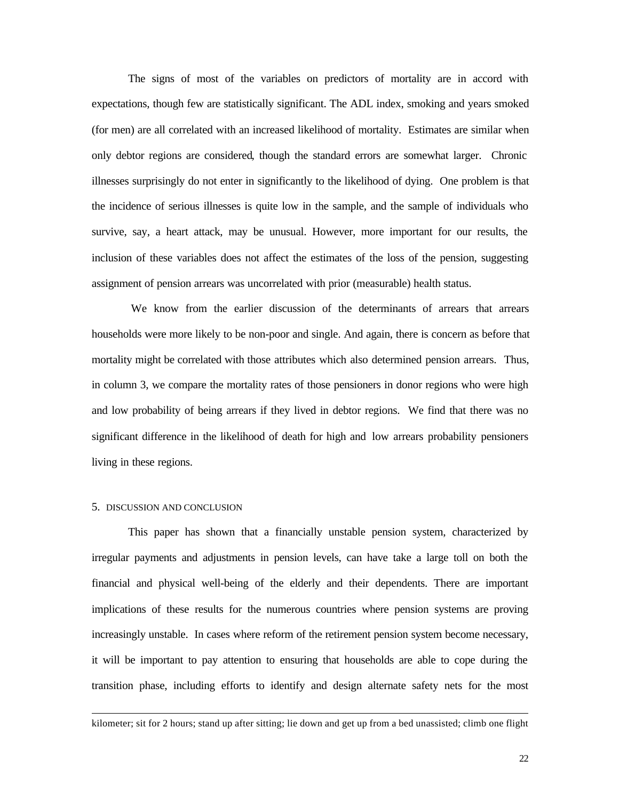The signs of most of the variables on predictors of mortality are in accord with expectations, though few are statistically significant. The ADL index, smoking and years smoked (for men) are all correlated with an increased likelihood of mortality. Estimates are similar when only debtor regions are considered, though the standard errors are somewhat larger. Chronic illnesses surprisingly do not enter in significantly to the likelihood of dying. One problem is that the incidence of serious illnesses is quite low in the sample, and the sample of individuals who survive, say, a heart attack, may be unusual. However, more important for our results, the inclusion of these variables does not affect the estimates of the loss of the pension, suggesting assignment of pension arrears was uncorrelated with prior (measurable) health status.

 We know from the earlier discussion of the determinants of arrears that arrears households were more likely to be non-poor and single. And again, there is concern as before that mortality might be correlated with those attributes which also determined pension arrears. Thus, in column 3, we compare the mortality rates of those pensioners in donor regions who were high and low probability of being arrears if they lived in debtor regions. We find that there was no significant difference in the likelihood of death for high and low arrears probability pensioners living in these regions.

#### 5. DISCUSSION AND CONCLUSION

l

This paper has shown that a financially unstable pension system, characterized by irregular payments and adjustments in pension levels, can have take a large toll on both the financial and physical well-being of the elderly and their dependents. There are important implications of these results for the numerous countries where pension systems are proving increasingly unstable. In cases where reform of the retirement pension system become necessary, it will be important to pay attention to ensuring that households are able to cope during the transition phase, including efforts to identify and design alternate safety nets for the most

kilometer; sit for 2 hours; stand up after sitting; lie down and get up from a bed unassisted; climb one flight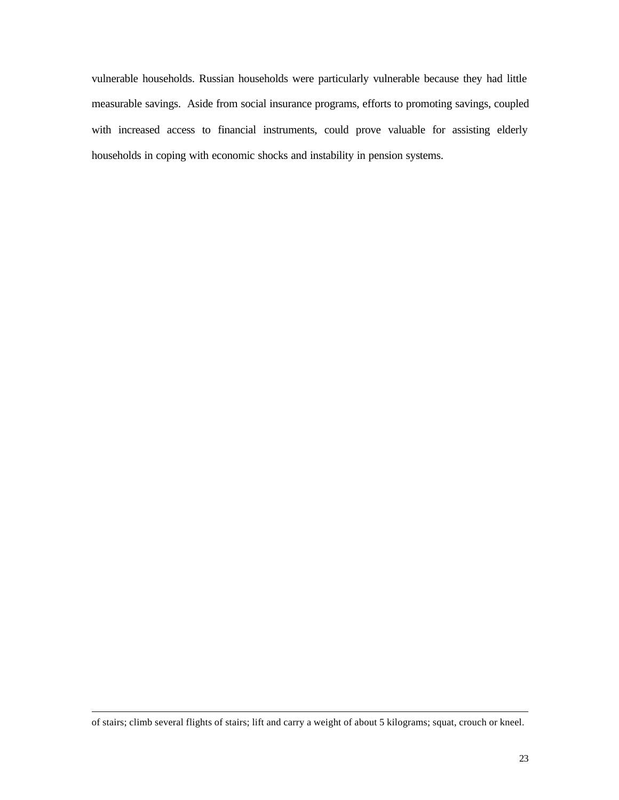vulnerable households. Russian households were particularly vulnerable because they had little measurable savings. Aside from social insurance programs, efforts to promoting savings, coupled with increased access to financial instruments, could prove valuable for assisting elderly households in coping with economic shocks and instability in pension systems.

of stairs; climb several flights of stairs; lift and carry a weight of about 5 kilograms; squat, crouch or kneel.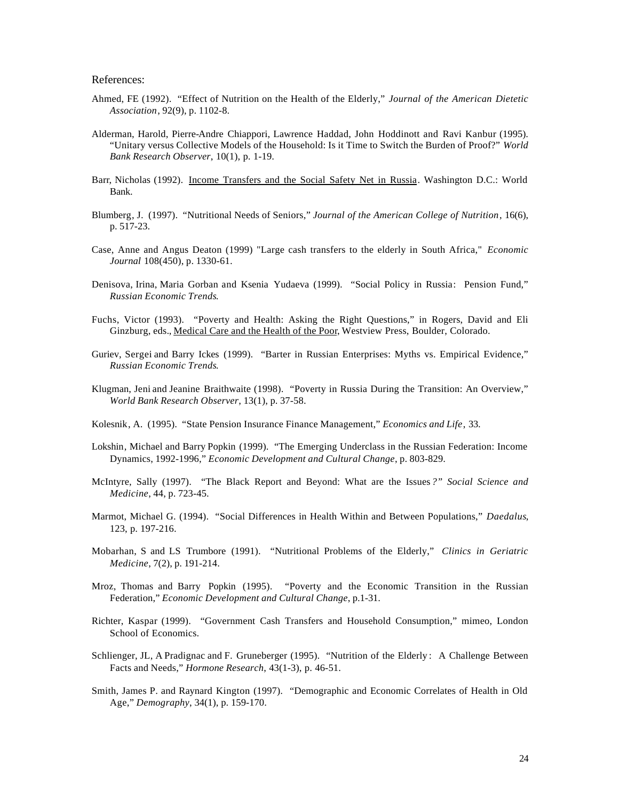References:

- Ahmed, FE (1992). "Effect of Nutrition on the Health of the Elderly," *Journal of the American Dietetic Association*, 92(9), p. 1102-8.
- Alderman, Harold, Pierre-Andre Chiappori, Lawrence Haddad, John Hoddinott and Ravi Kanbur (1995). "Unitary versus Collective Models of the Household: Is it Time to Switch the Burden of Proof?" *World Bank Research Observer*, 10(1), p. 1-19.
- Barr, Nicholas (1992). Income Transfers and the Social Safety Net in Russia. Washington D.C.: World Bank.
- Blumberg, J. (1997). "Nutritional Needs of Seniors," *Journal of the American College of Nutrition*, 16(6), p. 517-23.
- Case, Anne and Angus Deaton (1999) "Large cash transfers to the elderly in South Africa," *Economic Journal* 108(450), p. 1330-61.
- Denisova, Irina, Maria Gorban and Ksenia Yudaeva (1999). "Social Policy in Russia: Pension Fund," *Russian Economic Trends*.
- Fuchs, Victor (1993). "Poverty and Health: Asking the Right Questions," in Rogers, David and Eli Ginzburg, eds., Medical Care and the Health of the Poor, Westview Press, Boulder, Colorado.
- Guriev, Sergei and Barry Ickes (1999). "Barter in Russian Enterprises: Myths vs. Empirical Evidence," *Russian Economic Trends*.
- Klugman, Jeni and Jeanine Braithwaite (1998). "Poverty in Russia During the Transition: An Overview," *World Bank Research Observer*, 13(1), p. 37-58.
- Kolesnik, A. (1995). "State Pension Insurance Finance Management," *Economics and Life*, 33.
- Lokshin, Michael and Barry Popkin (1999). "The Emerging Underclass in the Russian Federation: Income Dynamics, 1992-1996," *Economic Development and Cultural Change*, p. 803-829.
- McIntyre, Sally (1997). "The Black Report and Beyond: What are the Issues *?" Social Science and Medicine*, 44, p. 723-45.
- Marmot, Michael G. (1994). "Social Differences in Health Within and Between Populations," *Daedalus*, 123, p. 197-216.
- Mobarhan, S and LS Trumbore (1991). "Nutritional Problems of the Elderly," *Clinics in Geriatric Medicine*, 7(2), p. 191-214.
- Mroz, Thomas and Barry Popkin (1995). "Poverty and the Economic Transition in the Russian Federation," *Economic Development and Cultural Change*, p.1-31.
- Richter, Kaspar (1999). "Government Cash Transfers and Household Consumption," mimeo, London School of Economics.
- Schlienger, JL, A Pradignac and F. Gruneberger (1995). "Nutrition of the Elderly : A Challenge Between Facts and Needs," *Hormone Research*, 43(1-3), p. 46-51.
- Smith, James P. and Raynard Kington (1997). "Demographic and Economic Correlates of Health in Old Age," *Demography*, 34(1), p. 159-170.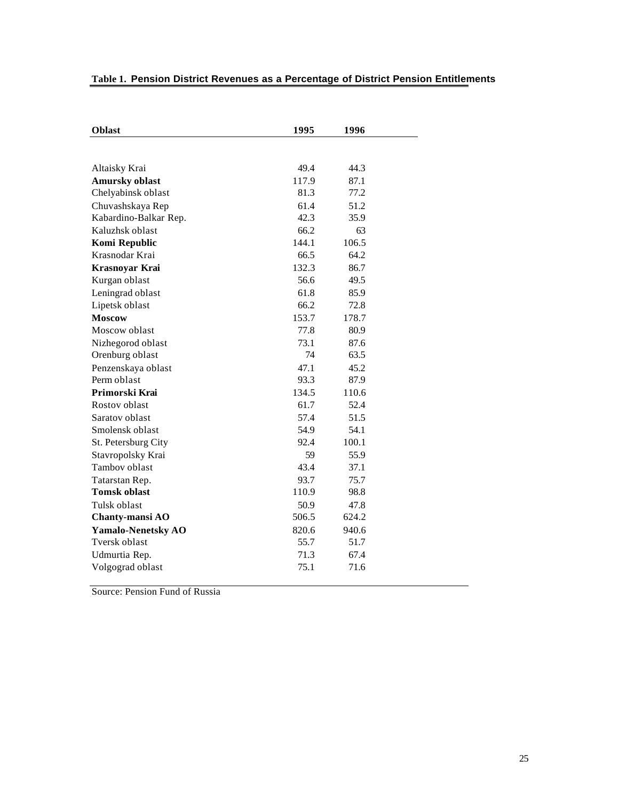# **Table 1. Pension District Revenues as a Percentage of District Pension Entitlements**

| 49.4<br>44.3<br>Altaisky Krai<br><b>Amursky oblast</b><br>117.9<br>87.1<br>77.2<br>Chelyabinsk oblast<br>81.3<br>61.4<br>51.2<br>Chuvashskaya Rep<br>42.3<br>Kabardino-Balkar Rep.<br>35.9<br>66.2<br>Kaluzhsk oblast<br>63<br>Komi Republic<br>144.1<br>106.5<br>64.2<br>Krasnodar Krai<br>66.5<br>132.3<br>Krasnoyar Krai<br>86.7<br>56.6<br>49.5<br>Kurgan oblast<br>61.8<br>Leningrad oblast<br>85.9<br>66.2<br>Lipetsk oblast<br>72.8<br><b>Moscow</b><br>153.7<br>178.7<br>77.8<br>Moscow oblast<br>80.9<br>73.1<br>Nizhegorod oblast<br>87.6<br>74<br>Orenburg oblast<br>63.5<br>47.1<br>Penzenskaya oblast<br>45.2<br>Perm oblast<br>93.3<br>87.9<br>Primorski Krai<br>134.5<br>110.6<br>61.7<br>52.4<br>Rostov oblast<br>57.4<br>Saratov oblast<br>51.5<br>Smolensk oblast<br>54.9<br>54.1<br>100.1<br>92.4<br>St. Petersburg City<br>Stavropolsky Krai<br>59<br>55.9<br>Tambov oblast<br>43.4<br>37.1<br>93.7<br>75.7<br>Tatarstan Rep.<br><b>Tomsk oblast</b><br>110.9<br>98.8<br>50.9<br>Tulsk oblast<br>47.8<br>506.5<br>624.2<br>Chanty-mansi AO<br>Yamalo-Nenetsky AO<br>820.6<br>940.6<br>55.7<br>Tversk oblast<br>51.7<br>71.3<br>67.4<br>Udmurtia Rep.<br>75.1<br>71.6<br>Volgograd oblast | <b>Oblast</b> | 1995 | 1996 |  |
|--------------------------------------------------------------------------------------------------------------------------------------------------------------------------------------------------------------------------------------------------------------------------------------------------------------------------------------------------------------------------------------------------------------------------------------------------------------------------------------------------------------------------------------------------------------------------------------------------------------------------------------------------------------------------------------------------------------------------------------------------------------------------------------------------------------------------------------------------------------------------------------------------------------------------------------------------------------------------------------------------------------------------------------------------------------------------------------------------------------------------------------------------------------------------------------------------------------|---------------|------|------|--|
|                                                                                                                                                                                                                                                                                                                                                                                                                                                                                                                                                                                                                                                                                                                                                                                                                                                                                                                                                                                                                                                                                                                                                                                                              |               |      |      |  |
|                                                                                                                                                                                                                                                                                                                                                                                                                                                                                                                                                                                                                                                                                                                                                                                                                                                                                                                                                                                                                                                                                                                                                                                                              |               |      |      |  |
|                                                                                                                                                                                                                                                                                                                                                                                                                                                                                                                                                                                                                                                                                                                                                                                                                                                                                                                                                                                                                                                                                                                                                                                                              |               |      |      |  |
|                                                                                                                                                                                                                                                                                                                                                                                                                                                                                                                                                                                                                                                                                                                                                                                                                                                                                                                                                                                                                                                                                                                                                                                                              |               |      |      |  |
|                                                                                                                                                                                                                                                                                                                                                                                                                                                                                                                                                                                                                                                                                                                                                                                                                                                                                                                                                                                                                                                                                                                                                                                                              |               |      |      |  |
|                                                                                                                                                                                                                                                                                                                                                                                                                                                                                                                                                                                                                                                                                                                                                                                                                                                                                                                                                                                                                                                                                                                                                                                                              |               |      |      |  |
|                                                                                                                                                                                                                                                                                                                                                                                                                                                                                                                                                                                                                                                                                                                                                                                                                                                                                                                                                                                                                                                                                                                                                                                                              |               |      |      |  |
|                                                                                                                                                                                                                                                                                                                                                                                                                                                                                                                                                                                                                                                                                                                                                                                                                                                                                                                                                                                                                                                                                                                                                                                                              |               |      |      |  |
|                                                                                                                                                                                                                                                                                                                                                                                                                                                                                                                                                                                                                                                                                                                                                                                                                                                                                                                                                                                                                                                                                                                                                                                                              |               |      |      |  |
|                                                                                                                                                                                                                                                                                                                                                                                                                                                                                                                                                                                                                                                                                                                                                                                                                                                                                                                                                                                                                                                                                                                                                                                                              |               |      |      |  |
|                                                                                                                                                                                                                                                                                                                                                                                                                                                                                                                                                                                                                                                                                                                                                                                                                                                                                                                                                                                                                                                                                                                                                                                                              |               |      |      |  |
|                                                                                                                                                                                                                                                                                                                                                                                                                                                                                                                                                                                                                                                                                                                                                                                                                                                                                                                                                                                                                                                                                                                                                                                                              |               |      |      |  |
|                                                                                                                                                                                                                                                                                                                                                                                                                                                                                                                                                                                                                                                                                                                                                                                                                                                                                                                                                                                                                                                                                                                                                                                                              |               |      |      |  |
|                                                                                                                                                                                                                                                                                                                                                                                                                                                                                                                                                                                                                                                                                                                                                                                                                                                                                                                                                                                                                                                                                                                                                                                                              |               |      |      |  |
|                                                                                                                                                                                                                                                                                                                                                                                                                                                                                                                                                                                                                                                                                                                                                                                                                                                                                                                                                                                                                                                                                                                                                                                                              |               |      |      |  |
|                                                                                                                                                                                                                                                                                                                                                                                                                                                                                                                                                                                                                                                                                                                                                                                                                                                                                                                                                                                                                                                                                                                                                                                                              |               |      |      |  |
|                                                                                                                                                                                                                                                                                                                                                                                                                                                                                                                                                                                                                                                                                                                                                                                                                                                                                                                                                                                                                                                                                                                                                                                                              |               |      |      |  |
|                                                                                                                                                                                                                                                                                                                                                                                                                                                                                                                                                                                                                                                                                                                                                                                                                                                                                                                                                                                                                                                                                                                                                                                                              |               |      |      |  |
|                                                                                                                                                                                                                                                                                                                                                                                                                                                                                                                                                                                                                                                                                                                                                                                                                                                                                                                                                                                                                                                                                                                                                                                                              |               |      |      |  |
|                                                                                                                                                                                                                                                                                                                                                                                                                                                                                                                                                                                                                                                                                                                                                                                                                                                                                                                                                                                                                                                                                                                                                                                                              |               |      |      |  |
|                                                                                                                                                                                                                                                                                                                                                                                                                                                                                                                                                                                                                                                                                                                                                                                                                                                                                                                                                                                                                                                                                                                                                                                                              |               |      |      |  |
|                                                                                                                                                                                                                                                                                                                                                                                                                                                                                                                                                                                                                                                                                                                                                                                                                                                                                                                                                                                                                                                                                                                                                                                                              |               |      |      |  |
|                                                                                                                                                                                                                                                                                                                                                                                                                                                                                                                                                                                                                                                                                                                                                                                                                                                                                                                                                                                                                                                                                                                                                                                                              |               |      |      |  |
|                                                                                                                                                                                                                                                                                                                                                                                                                                                                                                                                                                                                                                                                                                                                                                                                                                                                                                                                                                                                                                                                                                                                                                                                              |               |      |      |  |
|                                                                                                                                                                                                                                                                                                                                                                                                                                                                                                                                                                                                                                                                                                                                                                                                                                                                                                                                                                                                                                                                                                                                                                                                              |               |      |      |  |
|                                                                                                                                                                                                                                                                                                                                                                                                                                                                                                                                                                                                                                                                                                                                                                                                                                                                                                                                                                                                                                                                                                                                                                                                              |               |      |      |  |
|                                                                                                                                                                                                                                                                                                                                                                                                                                                                                                                                                                                                                                                                                                                                                                                                                                                                                                                                                                                                                                                                                                                                                                                                              |               |      |      |  |
|                                                                                                                                                                                                                                                                                                                                                                                                                                                                                                                                                                                                                                                                                                                                                                                                                                                                                                                                                                                                                                                                                                                                                                                                              |               |      |      |  |
|                                                                                                                                                                                                                                                                                                                                                                                                                                                                                                                                                                                                                                                                                                                                                                                                                                                                                                                                                                                                                                                                                                                                                                                                              |               |      |      |  |
|                                                                                                                                                                                                                                                                                                                                                                                                                                                                                                                                                                                                                                                                                                                                                                                                                                                                                                                                                                                                                                                                                                                                                                                                              |               |      |      |  |
|                                                                                                                                                                                                                                                                                                                                                                                                                                                                                                                                                                                                                                                                                                                                                                                                                                                                                                                                                                                                                                                                                                                                                                                                              |               |      |      |  |
|                                                                                                                                                                                                                                                                                                                                                                                                                                                                                                                                                                                                                                                                                                                                                                                                                                                                                                                                                                                                                                                                                                                                                                                                              |               |      |      |  |
|                                                                                                                                                                                                                                                                                                                                                                                                                                                                                                                                                                                                                                                                                                                                                                                                                                                                                                                                                                                                                                                                                                                                                                                                              |               |      |      |  |
|                                                                                                                                                                                                                                                                                                                                                                                                                                                                                                                                                                                                                                                                                                                                                                                                                                                                                                                                                                                                                                                                                                                                                                                                              |               |      |      |  |

Source: Pension Fund of Russia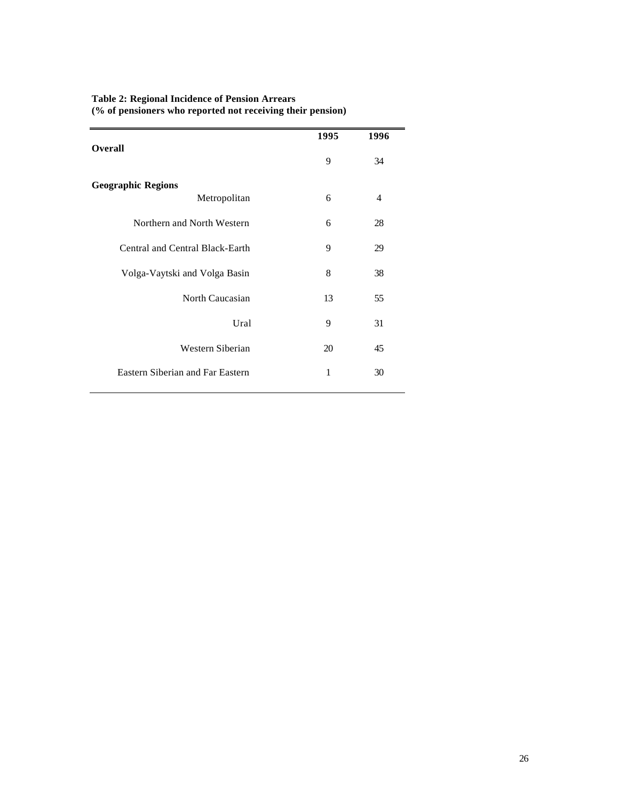| <b>Overall</b>                          | 1995 | 1996 |
|-----------------------------------------|------|------|
|                                         | 9    | 34   |
| <b>Geographic Regions</b>               |      |      |
| Metropolitan                            | 6    | 4    |
| Northern and North Western              | 6    | 28   |
| Central and Central Black-Earth         | 9    | 29   |
| Volga-Vaytski and Volga Basin           | 8    | 38   |
| North Caucasian                         | 13   | 55   |
| Ural                                    | 9    | 31   |
| Western Siberian                        | 20   | 45   |
| <b>Eastern Siberian and Far Eastern</b> | 1    | 30   |
|                                         |      |      |

#### **Table 2: Regional Incidence of Pension Arrears (% of pensioners who reported not receiving their pension)**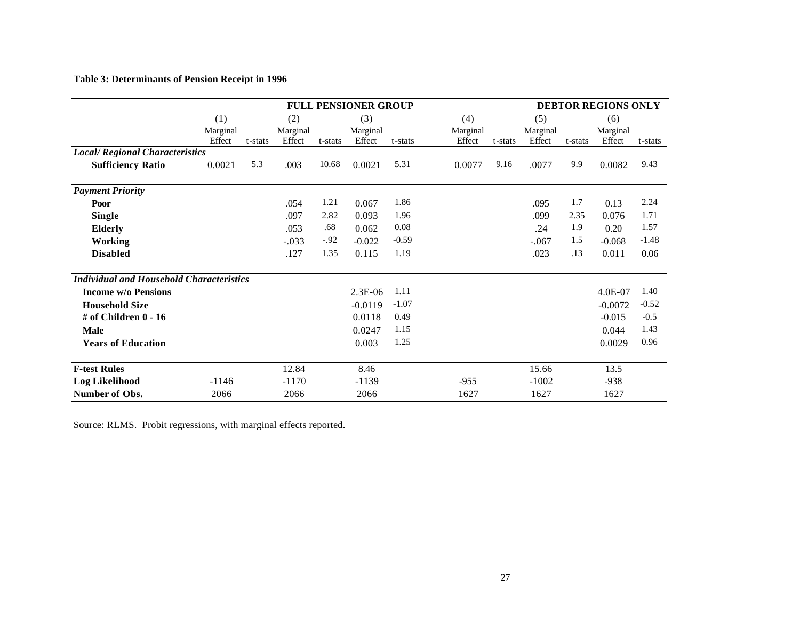# **Table 3: Determinants of Pension Receipt in 1996**

|                                                 |                 |         |                 |         | <b>FULL PENSIONER GROUP</b> |         |                 |         |                 |         | <b>DEBTOR REGIONS ONLY</b> |         |
|-------------------------------------------------|-----------------|---------|-----------------|---------|-----------------------------|---------|-----------------|---------|-----------------|---------|----------------------------|---------|
|                                                 | (1)<br>Marginal |         | (2)<br>Marginal |         | (3)<br>Marginal             |         | (4)<br>Marginal |         | (5)<br>Marginal |         | (6)<br>Marginal            |         |
|                                                 | Effect          | t-stats | Effect          | t-stats | Effect                      | t-stats | Effect          | t-stats | Effect          | t-stats | Effect                     | t-stats |
| <b>Local/Regional Characteristics</b>           |                 |         |                 |         |                             |         |                 |         |                 |         |                            |         |
| <b>Sufficiency Ratio</b>                        | 0.0021          | 5.3     | .003            | 10.68   | 0.0021                      | 5.31    | 0.0077          | 9.16    | .0077           | 9.9     | 0.0082                     | 9.43    |
| <b>Payment Priority</b>                         |                 |         |                 |         |                             |         |                 |         |                 |         |                            |         |
| Poor                                            |                 |         | .054            | 1.21    | 0.067                       | 1.86    |                 |         | .095            | 1.7     | 0.13                       | 2.24    |
| <b>Single</b>                                   |                 |         | .097            | 2.82    | 0.093                       | 1.96    |                 |         | .099            | 2.35    | 0.076                      | 1.71    |
| <b>Elderly</b>                                  |                 |         | .053            | .68     | 0.062                       | 0.08    |                 |         | .24             | 1.9     | 0.20                       | 1.57    |
| <b>Working</b>                                  |                 |         | $-.033$         | $-92$   | $-0.022$                    | $-0.59$ |                 |         | $-.067$         | 1.5     | $-0.068$                   | $-1.48$ |
| <b>Disabled</b>                                 |                 |         | .127            | 1.35    | 0.115                       | 1.19    |                 |         | .023            | .13     | 0.011                      | 0.06    |
| <b>Individual and Household Characteristics</b> |                 |         |                 |         |                             |         |                 |         |                 |         |                            |         |
| <b>Income w/o Pensions</b>                      |                 |         |                 |         | $2.3E-06$                   | 1.11    |                 |         |                 |         | 4.0E-07                    | 1.40    |
| <b>Household Size</b>                           |                 |         |                 |         | $-0.0119$                   | $-1.07$ |                 |         |                 |         | $-0.0072$                  | $-0.52$ |
| # of Children 0 - 16                            |                 |         |                 |         | 0.0118                      | 0.49    |                 |         |                 |         | $-0.015$                   | $-0.5$  |
| <b>Male</b>                                     |                 |         |                 |         | 0.0247                      | 1.15    |                 |         |                 |         | 0.044                      | 1.43    |
| <b>Years of Education</b>                       |                 |         |                 |         | 0.003                       | 1.25    |                 |         |                 |         | 0.0029                     | 0.96    |
| <b>F-test Rules</b>                             |                 |         | 12.84           |         | 8.46                        |         |                 |         | 15.66           |         | 13.5                       |         |
| <b>Log Likelihood</b>                           | $-1146$         |         | $-1170$         |         | $-1139$                     |         | $-955$          |         | $-1002$         |         | $-938$                     |         |
| Number of Obs.                                  | 2066            |         | 2066            |         | 2066                        |         | 1627            |         | 1627            |         | 1627                       |         |

Source: RLMS. Probit regressions, with marginal effects reported.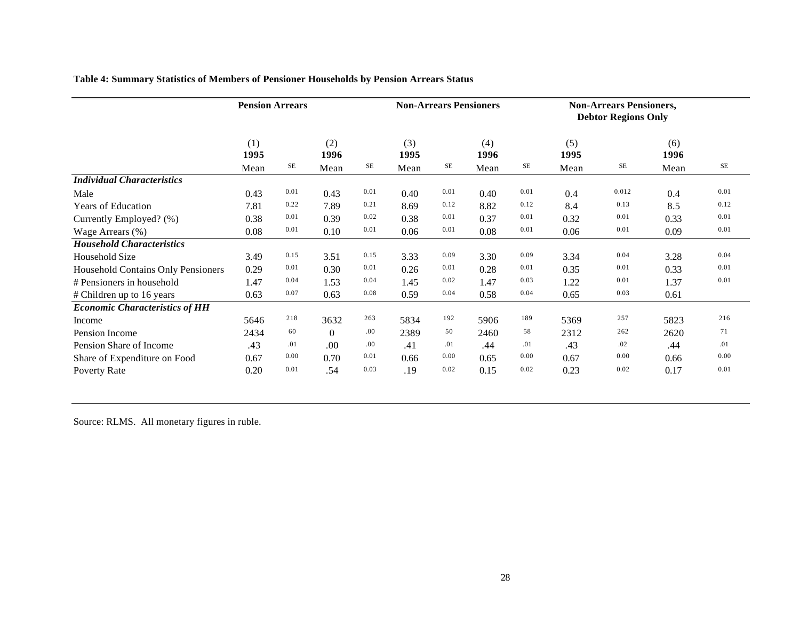|                                       | <b>Pension Arrears</b> |      |                  |           | <b>Non-Arrears Pensioners</b> |           |             |           | <b>Non-Arrears Pensioners,</b><br><b>Debtor Regions Only</b> |       |             |      |
|---------------------------------------|------------------------|------|------------------|-----------|-------------------------------|-----------|-------------|-----------|--------------------------------------------------------------|-------|-------------|------|
|                                       | (1)<br>1995            |      | (2)<br>1996      |           | (3)<br>1995                   |           | (4)<br>1996 |           | (5)<br>1995                                                  |       | (6)<br>1996 |      |
|                                       | Mean                   | SE   | Mean             | <b>SE</b> | Mean                          | <b>SE</b> | Mean        | <b>SE</b> | Mean                                                         | SE    | Mean        | SE   |
| <b>Individual Characteristics</b>     |                        |      |                  |           |                               |           |             |           |                                                              |       |             |      |
| Male                                  | 0.43                   | 0.01 | 0.43             | 0.01      | 0.40                          | 0.01      | 0.40        | 0.01      | 0.4                                                          | 0.012 | 0.4         | 0.01 |
| <b>Years of Education</b>             | 7.81                   | 0.22 | 7.89             | 0.21      | 8.69                          | 0.12      | 8.82        | 0.12      | 8.4                                                          | 0.13  | 8.5         | 0.12 |
| Currently Employed? (%)               | 0.38                   | 0.01 | 0.39             | 0.02      | 0.38                          | 0.01      | 0.37        | 0.01      | 0.32                                                         | 0.01  | 0.33        | 0.01 |
| Wage Arrears (%)                      | 0.08                   | 0.01 | 0.10             | 0.01      | 0.06                          | 0.01      | 0.08        | 0.01      | 0.06                                                         | 0.01  | 0.09        | 0.01 |
| <b>Household Characteristics</b>      |                        |      |                  |           |                               |           |             |           |                                                              |       |             |      |
| Household Size                        | 3.49                   | 0.15 | 3.51             | 0.15      | 3.33                          | 0.09      | 3.30        | 0.09      | 3.34                                                         | 0.04  | 3.28        | 0.04 |
| Household Contains Only Pensioners    | 0.29                   | 0.01 | 0.30             | 0.01      | 0.26                          | 0.01      | 0.28        | 0.01      | 0.35                                                         | 0.01  | 0.33        | 0.01 |
| # Pensioners in household             | 1.47                   | 0.04 | 1.53             | 0.04      | 1.45                          | 0.02      | 1.47        | 0.03      | 1.22                                                         | 0.01  | 1.37        | 0.01 |
| # Children up to 16 years             | 0.63                   | 0.07 | 0.63             | 0.08      | 0.59                          | 0.04      | 0.58        | 0.04      | 0.65                                                         | 0.03  | 0.61        |      |
| <b>Economic Characteristics of HH</b> |                        |      |                  |           |                               |           |             |           |                                                              |       |             |      |
| Income                                | 5646                   | 218  | 3632             | 263       | 5834                          | 192       | 5906        | 189       | 5369                                                         | 257   | 5823        | 216  |
| Pension Income                        | 2434                   | 60   | $\boldsymbol{0}$ | .00       | 2389                          | 50        | 2460        | 58        | 2312                                                         | 262   | 2620        | 71   |
| Pension Share of Income               | .43                    | .01  | .00              | .00       | .41                           | .01       | .44         | .01       | .43                                                          | .02   | .44         | .01  |
| Share of Expenditure on Food          | 0.67                   | 0.00 | 0.70             | 0.01      | 0.66                          | 0.00      | 0.65        | 0.00      | 0.67                                                         | 0.00  | 0.66        | 0.00 |
| Poverty Rate                          | 0.20                   | 0.01 | .54              | 0.03      | .19                           | 0.02      | 0.15        | 0.02      | 0.23                                                         | 0.02  | 0.17        | 0.01 |

**Table 4: Summary Statistics of Members of Pensioner Households by Pension Arrears Status**

Source: RLMS. All monetary figures in ruble.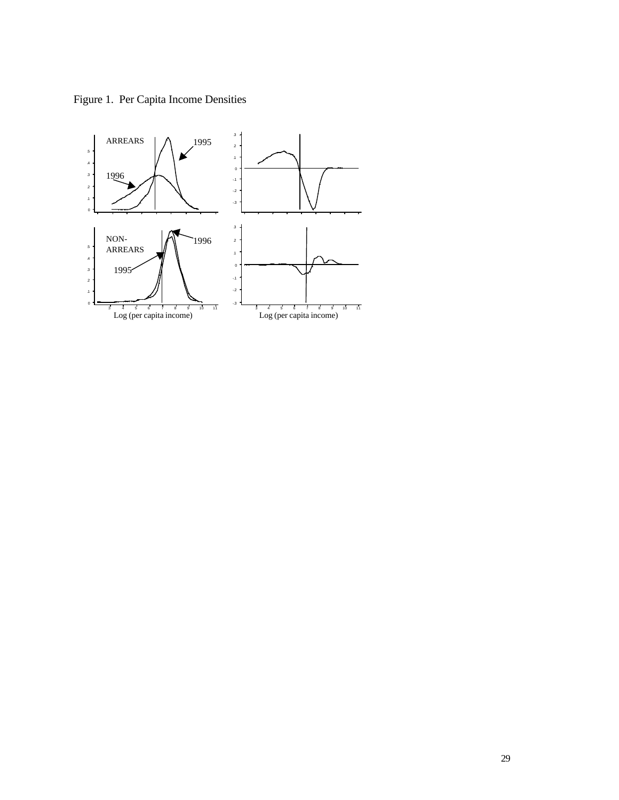Figure 1. Per Capita Income Densities

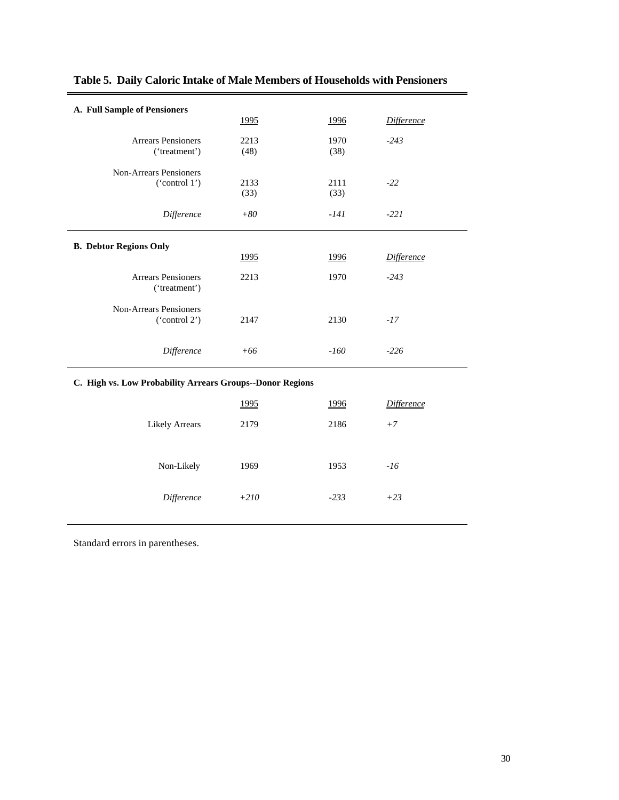| A. Full Sample of Pensioners                              |              |              |                   |  |  |  |  |
|-----------------------------------------------------------|--------------|--------------|-------------------|--|--|--|--|
|                                                           | 1995         | 1996         | <b>Difference</b> |  |  |  |  |
| <b>Arrears Pensioners</b>                                 | 2213         | 1970         | $-243$            |  |  |  |  |
| ('treatment')                                             | (48)         | (38)         |                   |  |  |  |  |
| <b>Non-Arrears Pensioners</b>                             |              |              |                   |  |  |  |  |
| ('control 1')                                             | 2133<br>(33) | 2111<br>(33) | $-22$             |  |  |  |  |
|                                                           |              |              |                   |  |  |  |  |
| Difference                                                | $+80$        | $-141$       | $-221$            |  |  |  |  |
|                                                           |              |              |                   |  |  |  |  |
| <b>B. Debtor Regions Only</b>                             | 1995         | 1996         | <b>Difference</b> |  |  |  |  |
|                                                           |              |              |                   |  |  |  |  |
| <b>Arrears Pensioners</b>                                 | 2213         | 1970         | $-243$            |  |  |  |  |
| ('treatment')                                             |              |              |                   |  |  |  |  |
| <b>Non-Arrears Pensioners</b>                             |              |              |                   |  |  |  |  |
| ('control 2')                                             | 2147         | 2130         | $-17$             |  |  |  |  |
|                                                           |              |              |                   |  |  |  |  |
| Difference                                                | $+66$        | $-160$       | $-226$            |  |  |  |  |
| C. High vs. Low Probability Arrears Groups--Donor Regions |              |              |                   |  |  |  |  |
|                                                           | <u>1995</u>  | <u>1996</u>  | <b>Difference</b> |  |  |  |  |
| <b>Likely Arrears</b>                                     | 2179         | 2186         | $+7$              |  |  |  |  |
|                                                           |              |              |                   |  |  |  |  |
|                                                           |              |              |                   |  |  |  |  |
| Non-Likely                                                | 1969         | 1953         | $-16$             |  |  |  |  |
|                                                           |              |              |                   |  |  |  |  |

*Difference +210 -233 +23*

# **Table 5. Daily Caloric Intake of Male Members of Households with Pensioners**

Standard errors in parentheses.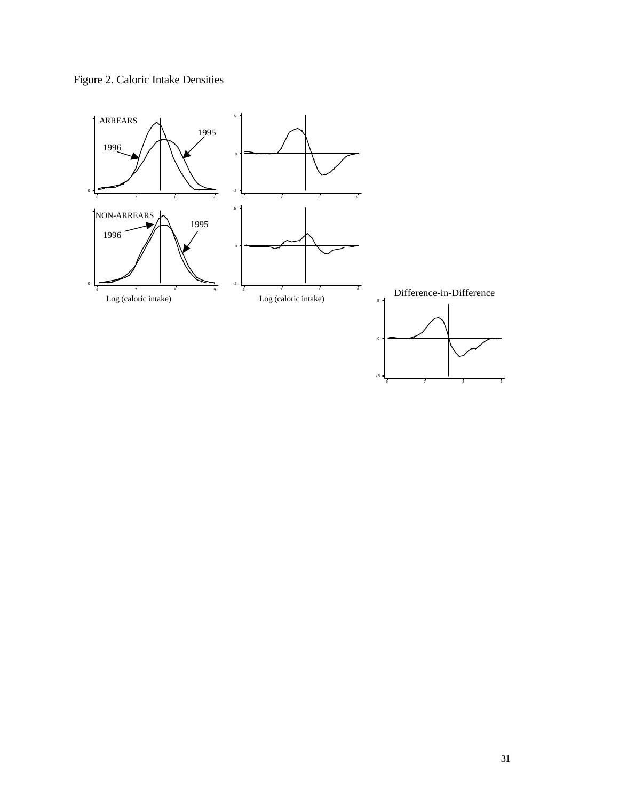

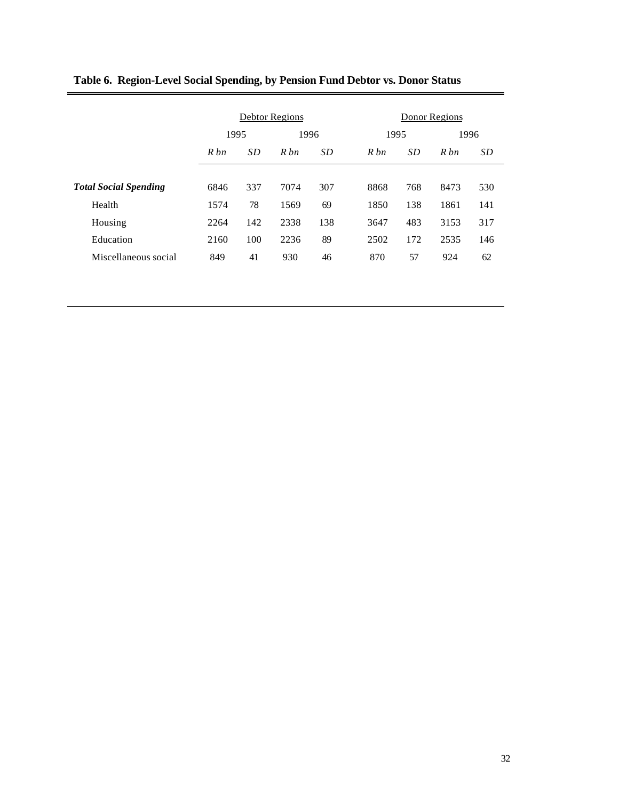|                              |        |     | Debtor Regions |     |        | Donor Regions    |      |  |  |  |
|------------------------------|--------|-----|----------------|-----|--------|------------------|------|--|--|--|
|                              | 1995   |     | 1996           |     | 1995   |                  | 1996 |  |  |  |
|                              | $R$ bn | SD  | Rbn            | SD  | $R$ bn | <i>SD</i><br>Rbn | SD   |  |  |  |
| <b>Total Social Spending</b> | 6846   | 337 | 7074           | 307 | 8868   | 768<br>8473      | 530  |  |  |  |
| Health                       | 1574   | 78  | 1569           | 69  | 1850   | 138<br>1861      | 141  |  |  |  |
| Housing                      | 2264   | 142 | 2338           | 138 | 3647   | 483<br>3153      | 317  |  |  |  |
| Education                    | 2160   | 100 | 2236           | 89  | 2502   | 172<br>2535      | 146  |  |  |  |
| Miscellaneous social         | 849    | 41  | 930            | 46  | 870    | 57<br>924        | 62   |  |  |  |

# **Table 6. Region-Level Social Spending, by Pension Fund Debtor vs. Donor Status**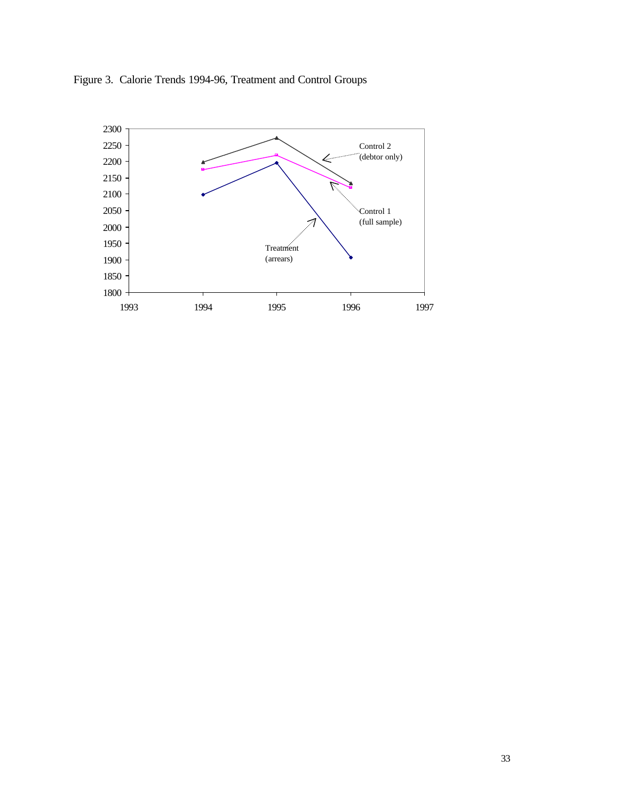

Figure 3. Calorie Trends 1994-96, Treatment and Control Groups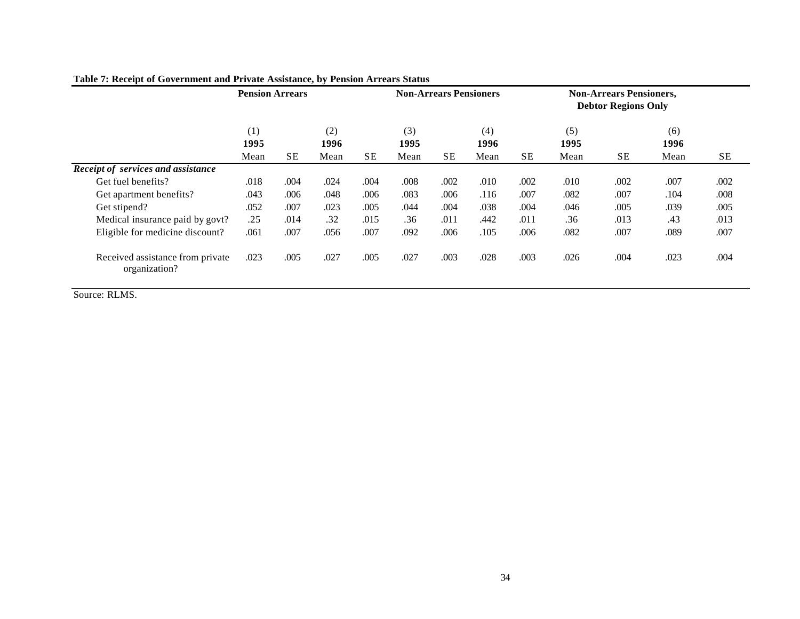|                                                   |             | <b>Pension Arrears</b> |             |           | <b>Non-Arrears Pensioners</b> |           |             | <b>Non-Arrears Pensioners,</b><br><b>Debtor Regions Only</b> |             |           |             |           |
|---------------------------------------------------|-------------|------------------------|-------------|-----------|-------------------------------|-----------|-------------|--------------------------------------------------------------|-------------|-----------|-------------|-----------|
|                                                   | (1)<br>1995 |                        | (2)<br>1996 |           | (3)<br>1995                   |           | (4)<br>1996 |                                                              | (5)<br>1995 |           | (6)<br>1996 |           |
|                                                   | Mean        | SE                     | Mean        | <b>SE</b> | Mean                          | <b>SE</b> | Mean        | SE                                                           | Mean        | <b>SE</b> | Mean        | <b>SE</b> |
| Receipt of services and assistance                |             |                        |             |           |                               |           |             |                                                              |             |           |             |           |
| Get fuel benefits?                                | .018        | .004                   | .024        | .004      | .008                          | .002      | .010        | .002                                                         | .010        | .002      | .007        | .002      |
| Get apartment benefits?                           | .043        | .006                   | .048        | .006      | .083                          | .006      | .116        | .007                                                         | .082        | .007      | .104        | .008      |
| Get stipend?                                      | .052        | .007                   | .023        | .005      | .044                          | .004      | .038        | .004                                                         | .046        | .005      | .039        | .005      |
| Medical insurance paid by govt?                   | .25         | .014                   | .32         | .015      | .36                           | .011      | .442        | .011                                                         | .36         | .013      | .43         | .013      |
| Eligible for medicine discount?                   | .061        | .007                   | .056        | .007      | .092                          | .006      | .105        | .006                                                         | .082        | .007      | .089        | .007      |
| Received assistance from private<br>organization? | .023        | .005                   | .027        | .005      | .027                          | .003      | .028        | .003                                                         | .026        | .004      | .023        | .004      |

# **Table 7: Receipt of Government and Private Assistance, by Pension Arrears Status**

Source: RLMS.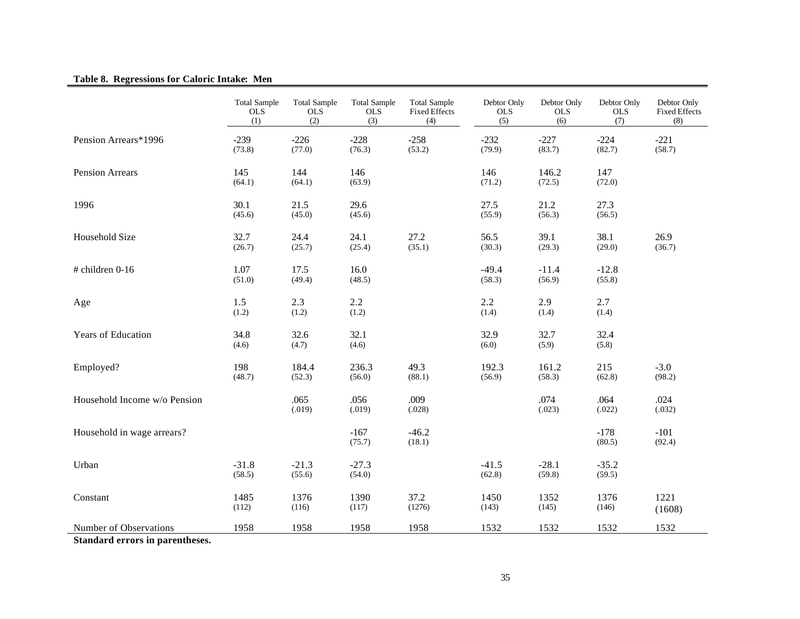# **Table 8. Regressions for Caloric Intake: Men**

|                              | <b>Total Sample</b><br><b>OLS</b><br>(1) | <b>Total Sample</b><br><b>OLS</b><br>(2) | <b>Total Sample</b><br><b>OLS</b><br>(3) | <b>Total Sample</b><br><b>Fixed Effects</b><br>(4) | Debtor Only<br><b>OLS</b><br>(5) | Debtor Only<br><b>OLS</b><br>(6) | Debtor Only<br><b>OLS</b><br>(7) | Debtor Only<br><b>Fixed Effects</b><br>(8) |
|------------------------------|------------------------------------------|------------------------------------------|------------------------------------------|----------------------------------------------------|----------------------------------|----------------------------------|----------------------------------|--------------------------------------------|
| Pension Arrears*1996         | $-239$<br>(73.8)                         | $-226$<br>(77.0)                         | $-228$<br>(76.3)                         | $-258$<br>(53.2)                                   | $-232$<br>(79.9)                 | $-227$<br>(83.7)                 | $-224$<br>(82.7)                 | $-221$<br>(58.7)                           |
| Pension Arrears              | 145<br>(64.1)                            | 144<br>(64.1)                            | 146<br>(63.9)                            |                                                    | 146<br>(71.2)                    | 146.2<br>(72.5)                  | 147<br>(72.0)                    |                                            |
| 1996                         | 30.1<br>(45.6)                           | 21.5<br>(45.0)                           | 29.6<br>(45.6)                           |                                                    | 27.5<br>(55.9)                   | 21.2<br>(56.3)                   | 27.3<br>(56.5)                   |                                            |
| Household Size               | 32.7<br>(26.7)                           | 24.4<br>(25.7)                           | 24.1<br>(25.4)                           | 27.2<br>(35.1)                                     | 56.5<br>(30.3)                   | 39.1<br>(29.3)                   | 38.1<br>(29.0)                   | 26.9<br>(36.7)                             |
| $#$ children 0-16            | 1.07<br>(51.0)                           | 17.5<br>(49.4)                           | 16.0<br>(48.5)                           |                                                    | $-49.4$<br>(58.3)                | $-11.4$<br>(56.9)                | $-12.8$<br>(55.8)                |                                            |
| Age                          | 1.5<br>(1.2)                             | 2.3<br>(1.2)                             | 2.2<br>(1.2)                             |                                                    | 2.2<br>(1.4)                     | 2.9<br>(1.4)                     | 2.7<br>(1.4)                     |                                            |
| <b>Years of Education</b>    | 34.8<br>(4.6)                            | 32.6<br>(4.7)                            | 32.1<br>(4.6)                            |                                                    | 32.9<br>(6.0)                    | 32.7<br>(5.9)                    | 32.4<br>(5.8)                    |                                            |
| Employed?                    | 198<br>(48.7)                            | 184.4<br>(52.3)                          | 236.3<br>(56.0)                          | 49.3<br>(88.1)                                     | 192.3<br>(56.9)                  | 161.2<br>(58.3)                  | 215<br>(62.8)                    | $-3.0$<br>(98.2)                           |
| Household Income w/o Pension |                                          | .065<br>(.019)                           | .056<br>(.019)                           | .009<br>(.028)                                     |                                  | .074<br>(.023)                   | .064<br>(.022)                   | .024<br>(.032)                             |
| Household in wage arrears?   |                                          |                                          | $-167$<br>(75.7)                         | $-46.2$<br>(18.1)                                  |                                  |                                  | $-178$<br>(80.5)                 | $-101$<br>(92.4)                           |
| Urban                        | $-31.8$<br>(58.5)                        | $-21.3$<br>(55.6)                        | $-27.3$<br>(54.0)                        |                                                    | $-41.5$<br>(62.8)                | $-28.1$<br>(59.8)                | $-35.2$<br>(59.5)                |                                            |
| Constant                     | 1485<br>(112)                            | 1376<br>(116)                            | 1390<br>(117)                            | 37.2<br>(1276)                                     | 1450<br>(143)                    | 1352<br>(145)                    | 1376<br>(146)                    | 1221<br>(1608)                             |
| Number of Observations       | 1958                                     | 1958                                     | 1958                                     | 1958                                               | 1532                             | 1532                             | 1532                             | 1532                                       |

**Standard errors in parentheses.**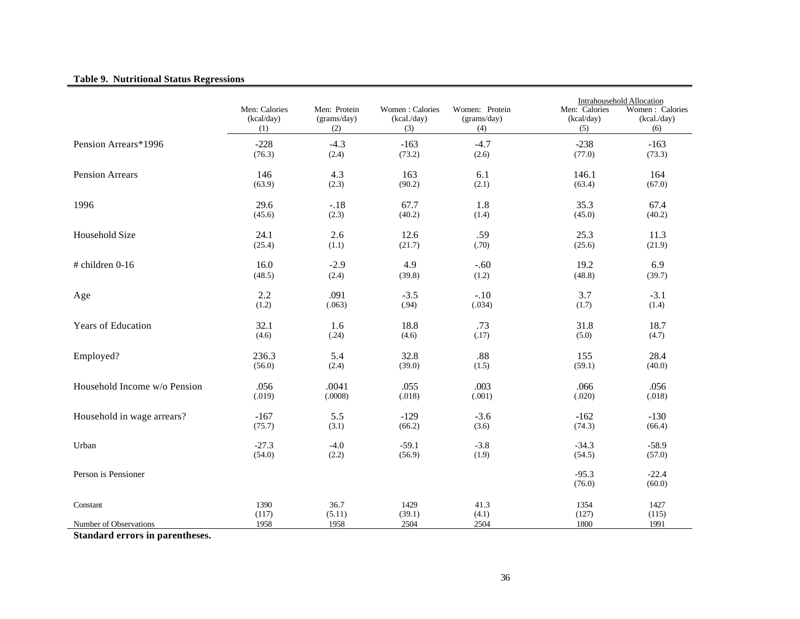# **Table 9. Nutritional Status Regressions**

|                              |               |              |                 |                |                   | Intrahousehold Allocation |
|------------------------------|---------------|--------------|-----------------|----------------|-------------------|---------------------------|
|                              | Men: Calories | Men: Protein | Women: Calories | Women: Protein | Men: Calories     | Women: Calories           |
|                              | (kcal/day)    | (grams/day)  | (kcal./day)     | (grams/day)    | (kcal/day)        | (kcal./day)               |
|                              | (1)           | (2)          | (3)             | (4)            | (5)               | (6)                       |
| Pension Arrears*1996         | $-228$        | $-4.3$       | $-163$          | $-4.7$         | $-238$            | $-163$                    |
|                              | (76.3)        | (2.4)        | (73.2)          | (2.6)          | (77.0)            | (73.3)                    |
| <b>Pension Arrears</b>       | 146           | 4.3          | 163             | 6.1            | 146.1             | 164                       |
|                              | (63.9)        | (2.3)        | (90.2)          | (2.1)          | (63.4)            | (67.0)                    |
| 1996                         | 29.6          | $-.18$       | 67.7            | 1.8            | 35.3              | 67.4                      |
|                              | (45.6)        | (2.3)        | (40.2)          | (1.4)          | (45.0)            | (40.2)                    |
| Household Size               | 24.1          | 2.6          | 12.6            | .59            | 25.3              | 11.3                      |
|                              | (25.4)        | (1.1)        | (21.7)          | (.70)          | (25.6)            | (21.9)                    |
| # children 0-16              | 16.0          | $-2.9$       | 4.9             | $-.60$         | 19.2              | 6.9                       |
|                              | (48.5)        | (2.4)        | (39.8)          | (1.2)          | (48.8)            | (39.7)                    |
| Age                          | 2.2           | .091         | $-3.5$          | $-.10$         | 3.7               | $-3.1$                    |
|                              | (1.2)         | (.063)       | (.94)           | (.034)         | (1.7)             | (1.4)                     |
| <b>Years of Education</b>    | 32.1          | 1.6          | 18.8            | .73            | 31.8              | 18.7                      |
|                              | (4.6)         | (.24)        | (4.6)           | (.17)          | (5.0)             | (4.7)                     |
| Employed?                    | 236.3         | 5.4          | 32.8            | .88            | 155               | 28.4                      |
|                              | (56.0)        | (2.4)        | (39.0)          | (1.5)          | (59.1)            | (40.0)                    |
| Household Income w/o Pension | .056          | .0041        | .055            | .003           | .066              | .056                      |
|                              | (.019)        | (.0008)      | (.018)          | (.001)         | (.020)            | (.018)                    |
| Household in wage arrears?   | $-167$        | 5.5          | $-129$          | $-3.6$         | $-162$            | $-130$                    |
|                              | (75.7)        | (3.1)        | (66.2)          | (3.6)          | (74.3)            | (66.4)                    |
| Urban                        | $-27.3$       | $-4.0$       | $-59.1$         | $-3.8$         | $-34.3$           | $-58.9$                   |
|                              | (54.0)        | (2.2)        | (56.9)          | (1.9)          | (54.5)            | (57.0)                    |
| Person is Pensioner          |               |              |                 |                | $-95.3$<br>(76.0) | $-22.4$<br>(60.0)         |
| Constant                     | 1390          | 36.7         | 1429            | 41.3           | 1354              | 1427                      |
|                              | (117)         | (5.11)       | (39.1)          | (4.1)          | (127)             | (115)                     |
| Number of Observations       | 1958          | 1958         | 2504            | 2504           | 1800              | 1991                      |

**Standard errors in parentheses.**